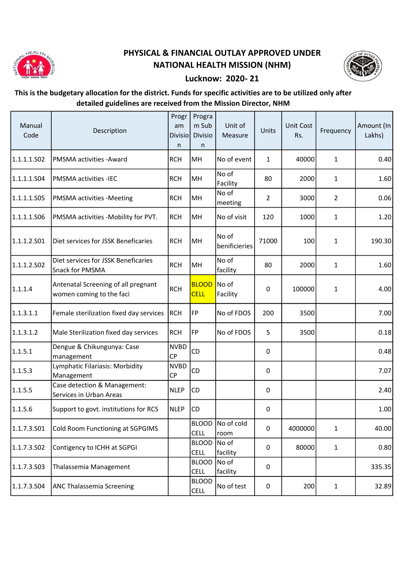

## PHYSICAL & FINANCIAL OUTLAY APPROVED UNDER NATIONAL HEALTH MISSION (NHM)



## Lucknow: 2020- 21

## This is the budgetary allocation for the district. Funds for specific activities are to be utilized only after detailed guidelines are received from the Mission Director, NHM

| Manual<br>Code | Description                                                     | Progr<br>am<br>Divisio<br>n | Progra<br>m Sub<br>Divisio<br>n | Unit of<br>Measure         | Units          | <b>Unit Cost</b><br>Rs. | Frequency      | Amount (In<br>Lakhs) |
|----------------|-----------------------------------------------------------------|-----------------------------|---------------------------------|----------------------------|----------------|-------------------------|----------------|----------------------|
| 1.1.1.1.502    | PMSMA activities - Award                                        | <b>RCH</b>                  | MH                              | No of event                | $\mathbf{1}$   | 40000                   | 1              | 0.40                 |
| 1.1.1.1.S04    | <b>PMSMA activities -IEC</b>                                    | <b>RCH</b>                  | MH                              | No of<br>Facility          | 80             | 2000                    | $\mathbf{1}$   | 1.60                 |
| 1.1.1.1.S05    | <b>PMSMA</b> activities -Meeting                                | <b>RCH</b>                  | MH                              | No of<br>meeting           | $\overline{2}$ | 3000                    | $\overline{2}$ | 0.06                 |
| 1.1.1.1.S06    | PMSMA activities -Mobility for PVT.                             | <b>RCH</b>                  | MH                              | No of visit                | 120            | 1000                    | 1              | 1.20                 |
| 1.1.1.2.501    | Diet services for JSSK Beneficaries                             | <b>RCH</b>                  | MH                              | No of<br>benificieries     | 71000          | 100                     | $\mathbf{1}$   | 190.30               |
| 1.1.1.2.502    | Diet services for JSSK Beneficaries<br>Snack for PMSMA          | <b>RCH</b>                  | MH                              | No of<br>facility          | 80             | 2000                    | $\mathbf{1}$   | 1.60                 |
| 1.1.1.4        | Antenatal Screening of all pregnant<br>women coming to the faci | <b>RCH</b>                  | <b>BLOOD</b><br><b>CELL</b>     | No of<br>Facility          | 0              | 100000                  | $\mathbf{1}$   | 4.00                 |
| 1.1.3.1.1      | Female sterilization fixed day services                         | RCH                         | <b>FP</b>                       | No of FDOS                 | 200            | 3500                    |                | 7.00                 |
| 1.1.3.1.2      | Male Sterilization fixed day services                           | <b>RCH</b>                  | FP                              | No of FDOS                 | 5              | 3500                    |                | 0.18                 |
| 1.1.5.1        | Dengue & Chikungunya: Case<br>management                        | <b>NVBD</b><br><b>CP</b>    | CD                              |                            | $\mathbf 0$    |                         |                | 0.48                 |
| 1.1.5.3        | Lymphatic Filariasis: Morbidity<br>Management                   | <b>NVBD</b><br><b>CP</b>    | CD                              |                            | 0              |                         |                | 7.07                 |
| 1.1.5.5        | Case detection & Management:<br>Services in Urban Areas         | <b>NLEP</b>                 | CD                              |                            | 0              |                         |                | 2.40                 |
| 1.1.5.6        | Support to govt. institutions for RCS                           | <b>NLEP</b>                 | CD                              |                            | 0              |                         |                | 1.00                 |
| 1.1.7.3.501    | Cold Room Functioning at SGPGIMS                                |                             | <b>CELL</b>                     | BLOOD   No of cold<br>room | 0              | 4000000                 | 1              | 40.00                |
| 1.1.7.3.502    | Contigency to ICHH at SGPGI                                     |                             | <b>BLOOD</b><br><b>CELL</b>     | No of<br>facility          | 0              | 80000                   | $\mathbf{1}$   | 0.80                 |
| 1.1.7.3.503    | Thalassemia Management                                          |                             | <b>BLOOD</b><br><b>CELL</b>     | No of<br>facility          | 0              |                         |                | 335.35               |
| 1.1.7.3.504    | <b>ANC Thalassemia Screening</b>                                |                             | <b>BLOOD</b><br><b>CELL</b>     | No of test                 | 0              | 200                     | 1              | 32.89                |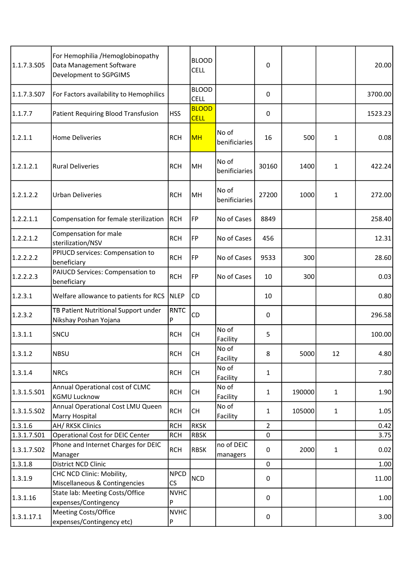| 1.1.7.3.505 | For Hemophilia /Hemoglobinopathy<br>Data Management Software<br>Development to SGPGIMS |                                         | <b>BLOOD</b><br><b>CELL</b> |                        | 0              |        |              | 20.00   |
|-------------|----------------------------------------------------------------------------------------|-----------------------------------------|-----------------------------|------------------------|----------------|--------|--------------|---------|
| 1.1.7.3.507 | For Factors availability to Hemophilics                                                |                                         | <b>BLOOD</b><br><b>CELL</b> |                        | 0              |        |              | 3700.00 |
| 1.1.7.7     | Patient Requiring Blood Transfusion                                                    | <b>HSS</b>                              | <b>BLOOD</b><br><b>CELL</b> |                        | 0              |        |              | 1523.23 |
| 1.2.1.1     | <b>Home Deliveries</b>                                                                 | <b>RCH</b>                              | <b>MH</b>                   | No of<br>benificiaries | 16             | 500    | $\mathbf{1}$ | 0.08    |
| 1.2.1.2.1   | <b>Rural Deliveries</b>                                                                | <b>RCH</b>                              | MH                          | No of<br>benificiaries | 30160          | 1400   | $\mathbf{1}$ | 422.24  |
| 1.2.1.2.2   | <b>Urban Deliveries</b>                                                                | <b>RCH</b>                              | MH                          | No of<br>benificiaries | 27200          | 1000   | $\mathbf{1}$ | 272.00  |
| 1.2.2.1.1   | Compensation for female sterilization                                                  | RCH                                     | FP                          | No of Cases            | 8849           |        |              | 258.40  |
| 1.2.2.1.2   | Compensation for male<br>sterilization/NSV                                             | <b>RCH</b>                              | FP                          | No of Cases            | 456            |        |              | 12.31   |
| 1.2.2.2.2   | PPIUCD services: Compensation to<br>beneficiary                                        | <b>RCH</b>                              | <b>FP</b>                   | No of Cases            | 9533           | 300    |              | 28.60   |
| 1.2.2.2.3   | PAIUCD Services: Compensation to<br>beneficiary                                        | <b>RCH</b>                              | FP                          | No of Cases            | 10             | 300    |              | 0.03    |
| 1.2.3.1     | Welfare allowance to patients for RCS                                                  | NLEP                                    | CD                          |                        | 10             |        |              | 0.80    |
| 1.2.3.2     | TB Patient Nutritional Support under<br>Nikshay Poshan Yojana                          | RNTC<br>P                               | CD                          |                        | 0              |        |              | 296.58  |
| 1.3.1.1     | SNCU                                                                                   | <b>RCH</b>                              | <b>CH</b>                   | No of<br>Facility      | 5              |        |              | 100.00  |
| 1.3.1.2     | <b>NBSU</b>                                                                            | <b>RCH</b>                              | <b>CH</b>                   | No of<br>Facility      | 8              | 5000   | 12           | 4.80    |
| 1.3.1.4     | <b>NRCs</b>                                                                            | <b>RCH</b>                              | <b>CH</b>                   | No of<br>Facility      | $\mathbf{1}$   |        |              | 7.80    |
| 1.3.1.5.501 | Annual Operational cost of CLMC<br>KGMU Lucknow                                        | <b>RCH</b>                              | <b>CH</b>                   | No of<br>Facility      | $\mathbf{1}$   | 190000 | $\mathbf{1}$ | 1.90    |
| 1.3.1.5.502 | Annual Operational Cost LMU Queen<br>Marry Hospital                                    | <b>RCH</b>                              | CH                          | No of<br>Facility      | $\mathbf{1}$   | 105000 | $\mathbf{1}$ | 1.05    |
| 1.3.1.6     | AH/ RKSK Clinics                                                                       | <b>RCH</b>                              | <b>RKSK</b>                 |                        | $\overline{2}$ |        |              | 0.42    |
| 1.3.1.7.501 | Operational Cost for DEIC Center                                                       | <b>RCH</b>                              | <b>RBSK</b>                 |                        | 0              |        |              | 3.75    |
| 1.3.1.7.502 | Phone and Internet Charges for DEIC<br>Manager                                         | <b>RCH</b>                              | <b>RBSK</b>                 | no of DEIC<br>managers | 0              | 2000   | $\mathbf{1}$ | 0.02    |
| 1.3.1.8     | District NCD Clinic                                                                    |                                         |                             |                        | $\pmb{0}$      |        |              | 1.00    |
| 1.3.1.9     | CHC NCD Clinic: Mobility,<br>Miscellaneous & Contingencies                             | <b>NPCD</b><br>$\mathsf{CS}\phantom{0}$ | <b>NCD</b>                  |                        | $\pmb{0}$      |        |              | 11.00   |
| 1.3.1.16    | State lab: Meeting Costs/Office<br>expenses/Contingency                                | <b>NVHC</b><br>P                        |                             |                        | 0              |        |              | 1.00    |
| 1.3.1.17.1  | Meeting Costs/Office<br>expenses/Contingency etc)                                      | <b>NVHC</b><br>P                        |                             |                        | 0              |        |              | 3.00    |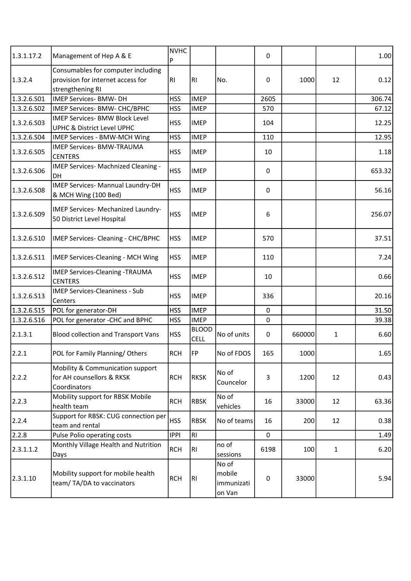| 1.3.1.17.2  | Management of Hep A & E                                                                     | <b>NVHC</b><br>P |                             |                                         | 0           |        |              | 1.00   |
|-------------|---------------------------------------------------------------------------------------------|------------------|-----------------------------|-----------------------------------------|-------------|--------|--------------|--------|
| 1.3.2.4     | Consumables for computer including<br>provision for internet access for<br>strengthening RI | RI               | R <sub>1</sub>              | No.                                     | 0           | 1000   | 12           | 0.12   |
| 1.3.2.6.501 | IMEP Services- BMW- DH                                                                      | <b>HSS</b>       | <b>IMEP</b>                 |                                         | 2605        |        |              | 306.74 |
| 1.3.2.6.502 | IMEP Services- BMW- CHC/BPHC                                                                | <b>HSS</b>       | <b>IMEP</b>                 |                                         | 570         |        |              | 67.12  |
| 1.3.2.6.503 | <b>IMEP Services- BMW Block Level</b><br>UPHC & District Level UPHC                         | <b>HSS</b>       | <b>IMEP</b>                 |                                         | 104         |        |              | 12.25  |
| 1.3.2.6.504 | IMEP Services - BMW-MCH Wing                                                                | <b>HSS</b>       | <b>IMEP</b>                 |                                         | 110         |        |              | 12.95  |
| 1.3.2.6.S05 | <b>IMEP Services- BMW-TRAUMA</b><br><b>CENTERS</b>                                          | <b>HSS</b>       | <b>IMEP</b>                 |                                         | 10          |        |              | 1.18   |
| 1.3.2.6.506 | IMEP Services- Machnized Cleaning -<br>DH                                                   | <b>HSS</b>       | <b>IMEP</b>                 |                                         | 0           |        |              | 653.32 |
| 1.3.2.6.508 | IMEP Services- Mannual Laundry-DH<br>& MCH Wing (100 Bed)                                   | <b>HSS</b>       | <b>IMEP</b>                 |                                         | 0           |        |              | 56.16  |
| 1.3.2.6.S09 | IMEP Services- Mechanized Laundry-<br>50 District Level Hospital                            | <b>HSS</b>       | <b>IMEP</b>                 |                                         | 6           |        |              | 256.07 |
| 1.3.2.6.510 | IMEP Services- Cleaning - CHC/BPHC                                                          | <b>HSS</b>       | <b>IMEP</b>                 |                                         | 570         |        |              | 37.51  |
| 1.3.2.6.511 | IMEP Services-Cleaning - MCH Wing                                                           | <b>HSS</b>       | <b>IMEP</b>                 |                                         | 110         |        |              | 7.24   |
| 1.3.2.6.512 | <b>IMEP Services-Cleaning -TRAUMA</b><br><b>CENTERS</b>                                     | <b>HSS</b>       | <b>IMEP</b>                 |                                         | 10          |        |              | 0.66   |
| 1.3.2.6.513 | <b>IMEP Services-Cleaniness - Sub</b><br>Centers                                            | <b>HSS</b>       | <b>IMEP</b>                 |                                         | 336         |        |              | 20.16  |
| 1.3.2.6.515 | POL for generator-DH                                                                        | <b>HSS</b>       | <b>IMEP</b>                 |                                         | 0           |        |              | 31.50  |
| 1.3.2.6.516 | POL for generator -CHC and BPHC                                                             | <b>HSS</b>       | <b>IMEP</b>                 |                                         | 0           |        |              | 39.38  |
| 2.1.3.1     | <b>Blood collection and Transport Vans</b>                                                  | <b>HSS</b>       | <b>BLOOD</b><br><b>CELL</b> | No of units                             | $\mathbf 0$ | 660000 | 1            | 6.60   |
| 2.2.1       | POL for Family Planning/Others                                                              | <b>RCH</b>       | FP                          | No of FDOS                              | 165         | 1000   |              | 1.65   |
| 2.2.2       | Mobility & Communication support<br>for AH counsellors & RKSK<br>Coordinators               | <b>RCH</b>       | <b>RKSK</b>                 | No of<br>Councelor                      | 3           | 1200   | 12           | 0.43   |
| 2.2.3       | Mobility support for RBSK Mobile<br>health team                                             | <b>RCH</b>       | <b>RBSK</b>                 | No of<br>vehicles                       | 16          | 33000  | 12           | 63.36  |
| 2.2.4       | Support for RBSK: CUG connection per<br>team and rental                                     | <b>HSS</b>       | <b>RBSK</b>                 | No of teams                             | 16          | 200    | 12           | 0.38   |
| 2.2.8       | Pulse Polio operating costs                                                                 | <b>IPPI</b>      | R <sub>1</sub>              |                                         | 0           |        |              | 1.49   |
| 2.3.1.1.2   | Monthly Village Health and Nutrition<br>Days                                                | <b>RCH</b>       | R <sub>l</sub>              | no of<br>sessions                       | 6198        | 100    | $\mathbf{1}$ | 6.20   |
| 2.3.1.10    | Mobility support for mobile health<br>team/TA/DA to vaccinators                             | <b>RCH</b>       | RI                          | No of<br>mobile<br>immunizati<br>on Van | $\pmb{0}$   | 33000  |              | 5.94   |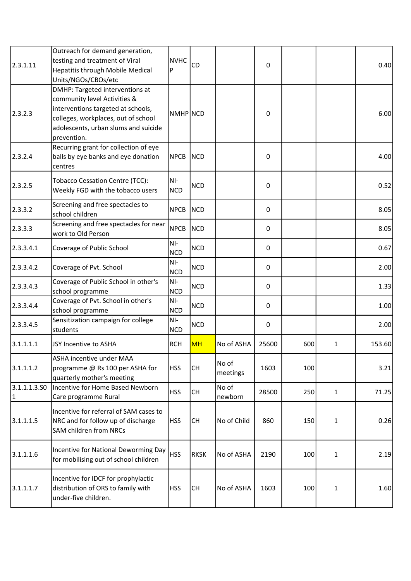| 2.3.1.11           | Outreach for demand generation,<br>testing and treatment of Viral<br>Hepatitis through Mobile Medical<br>Units/NGOs/CBOs/etc                                                                        | <b>NVHC</b><br>P    | <b>CD</b>   |                   | $\pmb{0}$ |     |              | 0.40   |
|--------------------|-----------------------------------------------------------------------------------------------------------------------------------------------------------------------------------------------------|---------------------|-------------|-------------------|-----------|-----|--------------|--------|
| 2.3.2.3            | DMHP: Targeted interventions at<br>community level Activities &<br>interventions targeted at schools,<br>colleges, workplaces, out of school<br>adolescents, urban slums and suicide<br>prevention. | INMHPINCD           |             |                   | 0         |     |              | 6.00   |
| 2.3.2.4            | Recurring grant for collection of eye<br>balls by eye banks and eye donation<br>centres                                                                                                             | <b>NPCB</b>         | <b>NCD</b>  |                   | 0         |     |              | 4.00   |
| 2.3.2.5            | <b>Tobacco Cessation Centre (TCC):</b><br>Weekly FGD with the tobacco users                                                                                                                         | NI-<br><b>NCD</b>   | NCD         |                   | 0         |     |              | 0.52   |
| 2.3.3.2            | Screening and free spectacles to<br>school children                                                                                                                                                 | <b>NPCB</b>         | <b>NCD</b>  |                   | 0         |     |              | 8.05   |
| 2.3.3.3            | Screening and free spectacles for near<br>work to Old Person                                                                                                                                        | <b>NPCB</b>         | <b>NCD</b>  |                   | 0         |     |              | 8.05   |
| [2.3.3.4.1]        | Coverage of Public School                                                                                                                                                                           | NI-<br><b>NCD</b>   | <b>NCD</b>  |                   | 0         |     |              | 0.67   |
| 2.3.3.4.2          | Coverage of Pvt. School                                                                                                                                                                             | $NI-$<br><b>NCD</b> | <b>NCD</b>  |                   | 0         |     |              | 2.00   |
| 2.3.3.4.3          | Coverage of Public School in other's<br>school programme                                                                                                                                            | NI-<br><b>NCD</b>   | <b>NCD</b>  |                   | 0         |     |              | 1.33   |
| 2.3.3.4.4          | Coverage of Pvt. School in other's<br>school programme                                                                                                                                              | NI-<br><b>NCD</b>   | <b>NCD</b>  |                   | 0         |     |              | 1.00   |
| 2.3.3.4.5          | Sensitization campaign for college<br>students                                                                                                                                                      | NI-<br><b>NCD</b>   | <b>NCD</b>  |                   | 0         |     |              | 2.00   |
| 3.1.1.1.1          | JSY Incentive to ASHA                                                                                                                                                                               | <b>RCH</b>          | <b>MH</b>   | No of ASHA        | 25600     | 600 | 1            | 153.60 |
| 3.1.1.1.2          | ASHA incentive under MAA<br>programme @ Rs 100 per ASHA for<br>quarterly mother's meeting                                                                                                           | <b>HSS</b>          | <b>CH</b>   | No of<br>meetings | 1603      | 100 |              | 3.21   |
| 3.1.1.1.3.50<br> 1 | Incentive for Home Based Newborn<br>Care programme Rural                                                                                                                                            | <b>HSS</b>          | <b>CH</b>   | No of<br>newborn  | 28500     | 250 | $\mathbf{1}$ | 71.25  |
| 3.1.1.1.5          | Incentive for referral of SAM cases to<br>NRC and for follow up of discharge<br><b>SAM children from NRCs</b>                                                                                       | <b>HSS</b>          | <b>CH</b>   | No of Child       | 860       | 150 | $\mathbf{1}$ | 0.26   |
| 3.1.1.1.6          | Incentive for National Deworming Day<br>for mobilising out of school children                                                                                                                       | <b>HSS</b>          | <b>RKSK</b> | No of ASHA        | 2190      | 100 | 1            | 2.19   |
| 3.1.1.1.7          | Incentive for IDCF for prophylactic<br>distribution of ORS to family with<br>under-five children.                                                                                                   | <b>HSS</b>          | <b>CH</b>   | No of ASHA        | 1603      | 100 | $\mathbf{1}$ | 1.60   |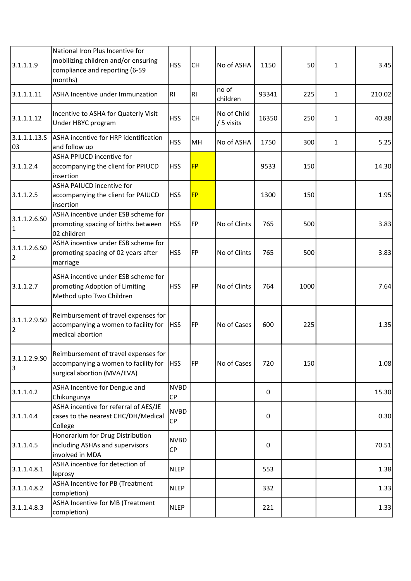| 3.1.1.1.9                      | National Iron Plus Incentive for<br>mobilizing children and/or ensuring<br>compliance and reporting (6-59<br>months) | <b>HSS</b>               | <b>CH</b> | No of ASHA                | 1150  | 50   | $\mathbf{1}$ | 3.45   |
|--------------------------------|----------------------------------------------------------------------------------------------------------------------|--------------------------|-----------|---------------------------|-------|------|--------------|--------|
| 3.1.1.1.11                     | ASHA Incentive under Immunzation                                                                                     | RI.                      | <b>RI</b> | no of<br>children         | 93341 | 225  | $\mathbf{1}$ | 210.02 |
| 3.1.1.1.12                     | Incentive to ASHA for Quaterly Visit<br>Under HBYC program                                                           | <b>HSS</b>               | <b>CH</b> | No of Child<br>/ 5 visits | 16350 | 250  | 1            | 40.88  |
| 3.1.1.1.13.5                   | ASHA incentive for HRP identification                                                                                | <b>HSS</b>               | MH        | No of ASHA                |       |      |              |        |
| 03                             | and follow up                                                                                                        |                          |           |                           | 1750  | 300  | $\mathbf{1}$ | 5.25   |
| 3.1.1.2.4                      | <b>ASHA PPIUCD incentive for</b><br>accompanying the client for PPIUCD<br>insertion                                  | <b>HSS</b>               | <b>FP</b> |                           | 9533  | 150  |              | 14.30  |
| 3.1.1.2.5                      | ASHA PAIUCD incentive for<br>accompanying the client for PAIUCD<br>insertion                                         | <b>HSS</b>               | <b>FP</b> |                           | 1300  | 150  |              | 1.95   |
| 3.1.1.2.6.50<br>1              | ASHA incentive under ESB scheme for<br>promoting spacing of births between<br>02 children                            | <b>HSS</b>               | <b>FP</b> | No of Clints              | 765   | 500  |              | 3.83   |
| 3.1.1.2.6.SO<br>$\overline{2}$ | ASHA incentive under ESB scheme for<br>promoting spacing of 02 years after<br>marriage                               | <b>HSS</b>               | FP        | No of Clints              | 765   | 500  |              | 3.83   |
| 3.1.1.2.7                      | ASHA incentive under ESB scheme for<br>promoting Adoption of Limiting<br>Method upto Two Children                    | <b>HSS</b>               | <b>FP</b> | No of Clints              | 764   | 1000 |              | 7.64   |
| 3.1.1.2.9.SO<br>$\overline{2}$ | Reimbursement of travel expenses for<br>accompanying a women to facility for<br>medical abortion                     | <b>HSS</b>               | FP        | No of Cases               | 600   | 225  |              | 1.35   |
| 3.1.1.2.9.SO<br>3              | Reimbursement of travel expenses for<br>accompanying a women to facility for<br>surgical abortion (MVA/EVA)          | <b>HSS</b>               | FP        | No of Cases               | 720   | 150  |              | 1.08   |
| 3.1.1.4.2                      | ASHA Incentive for Dengue and<br>Chikungunya                                                                         | <b>NVBD</b><br><b>CP</b> |           |                           | 0     |      |              | 15.30  |
| 3.1.1.4.4                      | ASHA incentive for referral of AES/JE<br>cases to the nearest CHC/DH/Medical<br>College                              | <b>NVBD</b><br><b>CP</b> |           |                           | 0     |      |              | 0.30   |
| 3.1.1.4.5                      | Honorarium for Drug Distribution<br>including ASHAs and supervisors<br>involved in MDA                               | <b>NVBD</b><br>CP        |           |                           | 0     |      |              | 70.51  |
| 3.1.1.4.8.1                    | ASHA incentive for detection of<br>leprosy                                                                           | <b>NLEP</b>              |           |                           | 553   |      |              | 1.38   |
| 3.1.1.4.8.2                    | <b>ASHA Incentive for PB (Treatment</b><br>completion)                                                               | <b>NLEP</b>              |           |                           | 332   |      |              | 1.33   |
| 3.1.1.4.8.3                    | ASHA Incentive for MB (Treatment<br>completion)                                                                      | <b>NLEP</b>              |           |                           | 221   |      |              | 1.33   |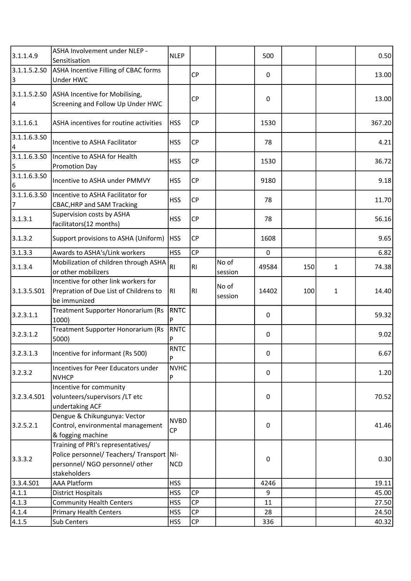| 3.1.1.4.9                      | ASHA Involvement under NLEP -<br>Sensitisation                                                                                       | <b>NLEP</b>              |                        |                  | 500   |     |   | 0.50   |
|--------------------------------|--------------------------------------------------------------------------------------------------------------------------------------|--------------------------|------------------------|------------------|-------|-----|---|--------|
| 3.1.1.5.2.50<br>3              | ASHA Incentive Filling of CBAC forms<br>Under HWC                                                                                    |                          | <b>CP</b>              |                  | 0     |     |   | 13.00  |
| 3.1.1.5.2.SO<br>4              | ASHA Incentive for Mobilising,<br>Screening and Follow Up Under HWC                                                                  |                          | <b>CP</b>              |                  | 0     |     |   | 13.00  |
| 3.1.1.6.1                      | ASHA incentives for routine activities                                                                                               | <b>HSS</b>               | <b>CP</b>              |                  | 1530  |     |   | 367.20 |
| 3.1.1.6.3.50<br>4              | Incentive to ASHA Facilitator                                                                                                        | <b>HSS</b>               | CP                     |                  | 78    |     |   | 4.21   |
| 3.1.1.6.3.SO<br>5              | Incentive to ASHA for Health<br><b>Promotion Day</b>                                                                                 | <b>HSS</b>               | <b>CP</b>              |                  | 1530  |     |   | 36.72  |
| 3.1.1.6.3.50<br>6              | Incentive to ASHA under PMMVY                                                                                                        | <b>HSS</b>               | <b>CP</b>              |                  | 9180  |     |   | 9.18   |
| 3.1.1.6.3.50<br>$\overline{7}$ | Incentive to ASHA Facilitator for<br><b>CBAC, HRP and SAM Tracking</b>                                                               | <b>HSS</b>               | <b>CP</b>              |                  | 78    |     |   | 11.70  |
| 3.1.3.1                        | Supervision costs by ASHA<br>facilitators(12 months)                                                                                 | <b>HSS</b>               | <b>CP</b>              |                  | 78    |     |   | 56.16  |
| 3.1.3.2                        | Support provisions to ASHA (Uniform)                                                                                                 | <b>HSS</b>               | CP                     |                  | 1608  |     |   | 9.65   |
| 3.1.3.3                        | Awards to ASHA's/Link workers                                                                                                        | <b>HSS</b>               | <b>CP</b>              |                  | 0     |     |   | 6.82   |
| 3.1.3.4                        | Mobilization of children through ASHA<br>or other mobilizers                                                                         | RI                       | <b>RI</b>              | No of<br>session | 49584 | 150 | 1 | 74.38  |
| 3.1.3.5.S01                    | Incentive for other link workers for<br>Prepration of Due List of Childrens to<br>be immunized                                       | RI                       | RI                     | No of<br>session | 14402 | 100 | 1 | 14.40  |
| 3.2.3.1.1                      | Treatment Supporter Honorarium (Rs<br>1000)                                                                                          | RNTC<br>P                |                        |                  | 0     |     |   | 59.32  |
| 3.2.3.1.2                      | Treatment Supporter Honorarium (Rs<br>5000)                                                                                          | RNTC                     |                        |                  | 0     |     |   | 9.02   |
| 3.2.3.1.3                      | Incentive for informant (Rs 500)                                                                                                     | <b>RNTC</b><br>P         |                        |                  | 0     |     |   | 6.67   |
| 3.2.3.2                        | Incentives for Peer Educators under<br><b>NVHCP</b>                                                                                  | <b>NVHC</b><br>P         |                        |                  | 0     |     |   | 1.20   |
| 3.2.3.4.501                    | Incentive for community<br>volunteers/supervisors/LT etc<br>undertaking ACF                                                          |                          |                        |                  | 0     |     |   | 70.52  |
| 3.2.5.2.1                      | Dengue & Chikungunya: Vector<br>Control, environmental management<br>& fogging machine                                               | <b>NVBD</b><br><b>CP</b> |                        |                  | 0     |     |   | 41.46  |
| 3.3.3.2                        | Training of PRI's representatives/<br>Police personnel/ Teachers/ Transport   NI-<br>personnel/ NGO personnel/ other<br>stakeholders | <b>NCD</b>               |                        |                  | 0     |     |   | 0.30   |
| 3.3.4.S01                      | <b>AAA Platform</b>                                                                                                                  | <b>HSS</b>               |                        |                  | 4246  |     |   | 19.11  |
| 4.1.1                          | <b>District Hospitals</b>                                                                                                            | <b>HSS</b>               | <b>CP</b>              |                  | 9     |     |   | 45.00  |
| 4.1.3                          | <b>Community Health Centers</b>                                                                                                      | <b>HSS</b>               | <b>CP</b>              |                  | 11    |     |   | 27.50  |
| 4.1.4                          | <b>Primary Health Centers</b>                                                                                                        | <b>HSS</b>               | CP                     |                  | 28    |     |   | 24.50  |
| 4.1.5                          | Sub Centers                                                                                                                          | <b>HSS</b>               | $\mathsf{C}\mathsf{P}$ |                  | 336   |     |   | 40.32  |
|                                |                                                                                                                                      |                          |                        |                  |       |     |   |        |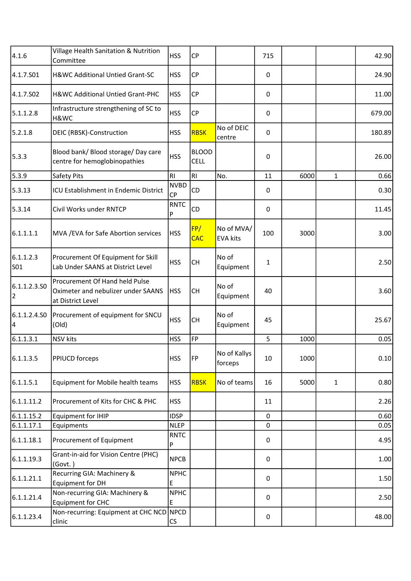| 4.1.6                   | Village Health Sanitation & Nutrition<br>Committee                                        | <b>HSS</b>               | <b>CP</b>                   |                               | 715         |      |              | 42.90  |
|-------------------------|-------------------------------------------------------------------------------------------|--------------------------|-----------------------------|-------------------------------|-------------|------|--------------|--------|
| 4.1.7.S01               | H&WC Additional Untied Grant-SC                                                           | <b>HSS</b>               | <b>CP</b>                   |                               | 0           |      |              | 24.90  |
| 4.1.7.S02               | H&WC Additional Untied Grant-PHC                                                          | <b>HSS</b>               | <b>CP</b>                   |                               | 0           |      |              | 11.00  |
| 5.1.1.2.8               | Infrastructure strengthening of SC to<br>H&WC                                             | <b>HSS</b>               | CP                          |                               | 0           |      |              | 679.00 |
| 5.2.1.8                 | DEIC (RBSK)-Construction                                                                  | <b>HSS</b>               | <b>RBSK</b>                 | No of DEIC<br>centre          | 0           |      |              | 180.89 |
| 5.3.3                   | Blood bank/ Blood storage/ Day care<br>centre for hemoglobinopathies                      | <b>HSS</b>               | <b>BLOOD</b><br><b>CELL</b> |                               | 0           |      |              | 26.00  |
| 5.3.9                   | Safety Pits                                                                               | RI                       | RI                          | No.                           | 11          | 6000 | $\mathbf{1}$ | 0.66   |
| 5.3.13                  | ICU Establishment in Endemic District                                                     | <b>NVBD</b><br><b>CP</b> | CD                          |                               | 0           |      |              | 0.30   |
| 5.3.14                  | Civil Works under RNTCP                                                                   | <b>RNTC</b><br>P         | CD                          |                               | 0           |      |              | 11.45  |
| 6.1.1.1.1               | MVA / EVA for Safe Abortion services                                                      | <b>HSS</b>               | FP/<br><b>CAC</b>           | No of MVA/<br><b>EVA kits</b> | 100         | 3000 |              | 3.00   |
| 6.1.1.2.3<br><b>SO1</b> | Procurement Of Equipment for Skill<br>Lab Under SAANS at District Level                   | <b>HSS</b>               | <b>CH</b>                   | No of<br>Equipment            | 1           |      |              | 2.50   |
| 6.1.1.2.3.50<br>2       | Procurement Of Hand held Pulse<br>Oximeter and nebulizer under SAANS<br>at District Level | <b>HSS</b>               | <b>CH</b>                   | No of<br>Equipment            | 40          |      |              | 3.60   |
| 6.1.1.2.4.SO<br>4       | Procurement of equipment for SNCU<br>(Old)                                                | <b>HSS</b>               | <b>CH</b>                   | No of<br>Equipment            | 45          |      |              | 25.67  |
| 6.1.1.3.1               | <b>NSV</b> kits                                                                           | <b>HSS</b>               | FP                          |                               | 5           | 1000 |              | 0.05   |
| 6.1.1.3.5               | <b>PPIUCD forceps</b>                                                                     | <b>HSS</b>               | FP                          | No of Kallys<br>forceps       | 10          | 1000 |              | 0.10   |
| 6.1.1.5.1               | Equipment for Mobile health teams                                                         | <b>HSS</b>               | <b>RBSK</b>                 | No of teams                   | 16          | 5000 | 1            | 0.80   |
| 6.1.1.11.2              | Procurement of Kits for CHC & PHC                                                         | <b>HSS</b>               |                             |                               | 11          |      |              | 2.26   |
| 6.1.1.15.2              | Equipment for IHIP                                                                        | <b>IDSP</b>              |                             |                               | $\mathbf 0$ |      |              | 0.60   |
| 6.1.1.17.1              | Equipments                                                                                | <b>NLEP</b>              |                             |                               | 0           |      |              | 0.05   |
| 6.1.1.18.1              | Procurement of Equipment                                                                  | <b>RNTC</b><br>P         |                             |                               | 0           |      |              | 4.95   |
| 6.1.1.19.3              | Grant-in-aid for Vision Centre (PHC)<br>(Govt.)                                           | <b>NPCB</b>              |                             |                               | 0           |      |              | 1.00   |
| 6.1.1.21.1              | Recurring GIA: Machinery &<br>Equipment for DH                                            | <b>NPHC</b><br>E         |                             |                               | $\mathbf 0$ |      |              | 1.50   |
| 6.1.1.21.4              | Non-recurring GIA: Machinery &<br>Equipment for CHC                                       | <b>NPHC</b><br>E         |                             |                               | 0           |      |              | 2.50   |
| 6.1.1.23.4              | Non-recurring: Equipment at CHC NCD<br>clinic                                             | NPCD<br>CS               |                             |                               | 0           |      |              | 48.00  |
|                         |                                                                                           |                          |                             |                               |             |      |              |        |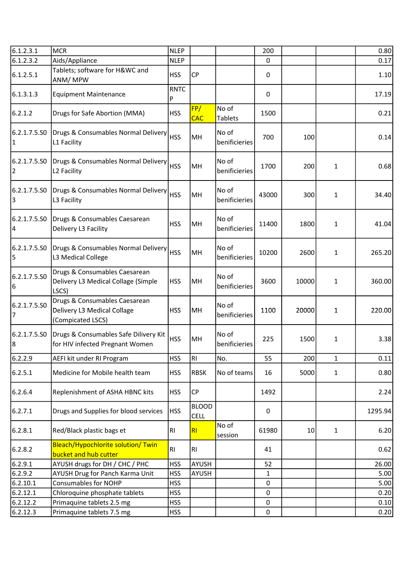| 6.1.2.3.1         | MCR                                                                               | <b>NLEP</b>      |                             |                         | 200   |       |              | 0.80    |
|-------------------|-----------------------------------------------------------------------------------|------------------|-----------------------------|-------------------------|-------|-------|--------------|---------|
| 6.1.2.3.2         | Aids/Appliance                                                                    | <b>NLEP</b>      |                             |                         | 0     |       |              | 0.17    |
| 6.1.2.5.1         | Tablets; software for H&WC and<br>ANM/MPW                                         | <b>HSS</b>       | <b>CP</b>                   |                         | 0     |       |              | 1.10    |
| 6.1.3.1.3         | <b>Equipment Maintenance</b>                                                      | <b>RNTC</b><br>P |                             |                         | 0     |       |              | 17.19   |
| 6.2.1.2           | Drugs for Safe Abortion (MMA)                                                     | <b>HSS</b>       | FP/<br>CAC                  | No of<br><b>Tablets</b> | 1500  |       |              | 0.21    |
| 6.2.1.7.5.SO<br>1 | Drugs & Consumables Normal Delivery<br>L1 Facility                                | <b>HSS</b>       | MH                          | No of<br>benificieries  | 700   | 100   |              | 0.14    |
| 6.2.1.7.5.SO<br>2 | Drugs & Consumables Normal Delivery<br>L2 Facility                                | <b>HSS</b>       | MH                          | No of<br>benificieries  | 1700  | 200   | 1            | 0.68    |
| 6.2.1.7.5.SO<br>3 | Drugs & Consumables Normal Delivery<br>L3 Facility                                | <b>HSS</b>       | MH                          | No of<br>benificieries  | 43000 | 300   | 1            | 34.40   |
| 6.2.1.7.5.SO<br>4 | Drugs & Consumables Caesarean<br>Delivery L3 Facility                             | <b>HSS</b>       | MH                          | No of<br>benificieries  | 11400 | 1800  | $\mathbf{1}$ | 41.04   |
| 6.2.1.7.5.SO<br>5 | Drugs & Consumables Normal Delivery<br>L3 Medical College                         | <b>HSS</b>       | MH                          | No of<br>benificieries  | 10200 | 2600  | $\mathbf{1}$ | 265.20  |
| 6.2.1.7.5.SO<br>6 | Drugs & Consumables Caesarean<br>Delivery L3 Medical Collage (Simple<br>LSCS)     | <b>HSS</b>       | MH                          | No of<br>benificieries  | 3600  | 10000 | 1            | 360.00  |
| 6.2.1.7.5.SO<br>7 | Drugs & Consumables Caesarean<br>Delivery L3 Medical Collage<br>(Compicated LSCS) | <b>HSS</b>       | MH                          | No of<br>benificieries  | 1100  | 20000 | 1            | 220.00  |
| 6.2.1.7.5.SO<br>8 | Drugs & Consumables Safe Dilivery Kit<br>for HIV infected Pregnant Women          | <b>HSS</b>       | MH                          | No of<br>benificieries  | 225   | 1500  | 1            | 3.38    |
| 6.2.2.9           | AEFI kit under RI Program                                                         | <b>HSS</b>       | RI                          | No.                     | 55    | 200   | $\mathbf{1}$ | 0.11    |
| 6.2.5.1           | Medicine for Mobile health team                                                   | <b>HSS</b>       | <b>RBSK</b>                 | No of teams             | 16    | 5000  | $\mathbf{1}$ | 0.80    |
| 6.2.6.4           | Replenishment of ASHA HBNC kits                                                   | <b>HSS</b>       | CP                          |                         | 1492  |       |              | 2.24    |
| 6.2.7.1           | Drugs and Supplies for blood services                                             | <b>HSS</b>       | <b>BLOOD</b><br><b>CELL</b> |                         | 0     |       |              | 1295.94 |
| 6.2.8.1           | Red/Black plastic bags et                                                         | RI               | R <sub>l</sub>              | No of<br>session        | 61980 | 10    | 1            | 6.20    |
| 6.2.8.2           | Bleach/Hypochlorite solution/ Twin<br>bucket and hub cutter                       | RI               | R <sub>1</sub>              |                         | 41    |       |              | 0.62    |
| 6.2.9.1           | AYUSH drugs for DH / CHC / PHC                                                    | <b>HSS</b>       | <b>AYUSH</b>                |                         | 52    |       |              | 26.00   |
| 6.2.9.2           | AYUSH Drug for Panch Karma Unit                                                   | <b>HSS</b>       | <b>AYUSH</b>                |                         | 1     |       |              | 5.00    |
| 6.2.10.1          | <b>Consumables for NOHP</b>                                                       | <b>HSS</b>       |                             |                         | 0     |       |              | 5.00    |
| 6.2.12.1          | Chloroquine phosphate tablets                                                     | <b>HSS</b>       |                             |                         | 0     |       |              | 0.20    |
| 6.2.12.2          | Primaquine tablets 2.5 mg                                                         | <b>HSS</b>       |                             |                         | 0     |       |              | 0.10    |
| 6.2.12.3          | Primaquine tablets 7.5 mg                                                         | <b>HSS</b>       |                             |                         | 0     |       |              | 0.20    |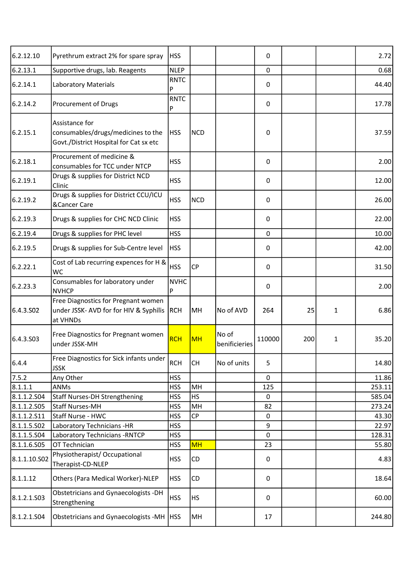| 6.2.12.10             | Pyrethrum extract 2% for spare spray                                                           | <b>HSS</b>       |            |                        | 0           |     |   | 2.72   |
|-----------------------|------------------------------------------------------------------------------------------------|------------------|------------|------------------------|-------------|-----|---|--------|
| 6.2.13.1              | Supportive drugs, lab. Reagents                                                                | <b>NLEP</b>      |            |                        | $\mathbf 0$ |     |   | 0.68   |
| 6.2.14.1              | <b>Laboratory Materials</b>                                                                    | <b>RNTC</b><br>P |            |                        | 0           |     |   | 44.40  |
| 6.2.14.2              | Procurement of Drugs                                                                           | <b>RNTC</b><br>P |            |                        | 0           |     |   | 17.78  |
| 6.2.15.1              | Assistance for<br>consumables/drugs/medicines to the<br>Govt./District Hospital for Cat sx etc | <b>HSS</b>       | <b>NCD</b> |                        | 0           |     |   | 37.59  |
| 6.2.18.1              | Procurement of medicine &<br>consumables for TCC under NTCP                                    | <b>HSS</b>       |            |                        | 0           |     |   | 2.00   |
| 6.2.19.1              | Drugs & supplies for District NCD<br>Clinic                                                    | <b>HSS</b>       |            |                        | 0           |     |   | 12.00  |
| 6.2.19.2              | Drugs & supplies for District CCU/ICU<br>&Cancer Care                                          | <b>HSS</b>       | <b>NCD</b> |                        | 0           |     |   | 26.00  |
| 6.2.19.3              | Drugs & supplies for CHC NCD Clinic                                                            | <b>HSS</b>       |            |                        | 0           |     |   | 22.00  |
| 6.2.19.4              | Drugs & supplies for PHC level                                                                 | <b>HSS</b>       |            |                        | $\mathbf 0$ |     |   | 10.00  |
| 6.2.19.5              | Drugs & supplies for Sub-Centre level                                                          | <b>HSS</b>       |            |                        | 0           |     |   | 42.00  |
| 6.2.22.1              | Cost of Lab recurring expences for H &<br><b>WC</b>                                            | <b>HSS</b>       | <b>CP</b>  |                        | 0           |     |   | 31.50  |
| 6.2.23.3              | Consumables for laboratory under<br><b>NVHCP</b>                                               | <b>NVHC</b><br>P |            |                        | 0           |     |   | 2.00   |
| 6.4.3.SO <sub>2</sub> | Free Diagnostics for Pregnant women<br>under JSSK- AVD for for HIV & Syphilis<br>at VHNDs      | RCH              | MH         | No of AVD              | 264         | 25  | 1 | 6.86   |
| 6.4.3.503             | Free Diagnostics for Pregnant women<br>under JSSK-MH                                           | <b>RCH</b>       | <b>MH</b>  | No of<br>benificieries | 110000      | 200 | 1 | 35.20  |
| 6.4.4                 | Free Diagnostics for Sick infants under<br><b>JSSK</b>                                         | <b>RCH</b>       | <b>CH</b>  | No of units            | 5           |     |   | 14.80  |
| 7.5.2                 | Any Other                                                                                      | <b>HSS</b>       |            |                        | 0           |     |   | 11.86  |
| 8.1.1.1               | ANMs                                                                                           | <b>HSS</b>       | MH         |                        | 125         |     |   | 253.11 |
| 8.1.1.2.S04           | <b>Staff Nurses-DH Strengthening</b>                                                           | <b>HSS</b>       | <b>HS</b>  |                        | 0           |     |   | 585.04 |
| 8.1.1.2.505           | Staff Nurses-MH                                                                                | <b>HSS</b>       | MH         |                        | 82          |     |   | 273.24 |
| 8.1.1.2.511           | Staff Nurse - HWC                                                                              | <b>HSS</b>       | CP         |                        | $\mathbf 0$ |     |   | 43.30  |
| 8.1.1.5.502           | Laboratory Technicians -HR                                                                     | <b>HSS</b>       |            |                        | 9           |     |   | 22.97  |
| 8.1.1.5.504           | Laboratory Technicians - RNTCP                                                                 | <b>HSS</b>       |            |                        | 0           |     |   | 128.31 |
| 8.1.1.6.505           | OT Technician                                                                                  | <b>HSS</b>       | <b>MH</b>  |                        | 23          |     |   | 55.80  |
| 8.1.1.10.S02          | Physiotherapist/Occupational<br>Therapist-CD-NLEP                                              | <b>HSS</b>       | CD         |                        | 0           |     |   | 4.83   |
| 8.1.1.12              | Others (Para Medical Worker)-NLEP                                                              | <b>HSS</b>       | CD         |                        | 0           |     |   | 18.64  |
| 8.1.2.1.503           | Obstetricians and Gynaecologists -DH<br>Strengthening                                          | <b>HSS</b>       | <b>HS</b>  |                        | 0           |     |   | 60.00  |
| 8.1.2.1.504           | Obstetricians and Gynaecologists -MH   HSS                                                     |                  | MH         |                        | 17          |     |   | 244.80 |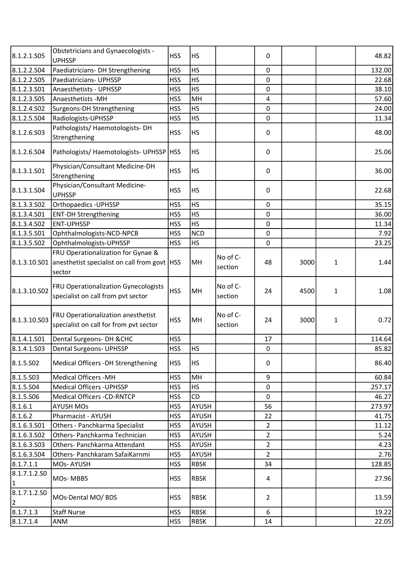| 8.1.2.1.505                  | <b>Obstetricians and Gynaecologists -</b><br><b>UPHSSP</b>                                                  | <b>HSS</b> | <b>HS</b>   |                     | 0                       |      |              | 48.82  |
|------------------------------|-------------------------------------------------------------------------------------------------------------|------------|-------------|---------------------|-------------------------|------|--------------|--------|
| 8.1.2.2.504                  | Paediatricians- DH Strengthening                                                                            | <b>HSS</b> | <b>HS</b>   |                     | $\mathbf 0$             |      |              | 132.00 |
| 8.1.2.2.S05                  | Paediatricians- UPHSSP                                                                                      | <b>HSS</b> | HS          |                     | $\pmb{0}$               |      |              | 22.68  |
| 8.1.2.3.501                  | Anaesthetists - UPHSSP                                                                                      | <b>HSS</b> | <b>HS</b>   |                     | $\mathbf 0$             |      |              | 38.10  |
| 8.1.2.3.505                  | Anaesthetists -MH                                                                                           | <b>HSS</b> | MH          |                     | $\overline{\mathbf{4}}$ |      |              | 57.60  |
| 8.1.2.4.502                  | Surgeons-DH Strengthening                                                                                   | <b>HSS</b> | <b>HS</b>   |                     | $\pmb{0}$               |      |              | 24.00  |
| 8.1.2.5.S04                  | Radiologists-UPHSSP                                                                                         | <b>HSS</b> | <b>HS</b>   |                     | $\mathbf 0$             |      |              | 11.34  |
| 8.1.2.6.503                  | Pathologists/ Haemotologists-DH<br>Strengthening                                                            | <b>HSS</b> | HS          |                     | 0                       |      |              | 48.00  |
| 8.1.2.6.504                  | Pathologists/Haemotologists-UPHSSP   HSS                                                                    |            | <b>HS</b>   |                     | 0                       |      |              | 25.06  |
| 8.1.3.1.501                  | Physician/Consultant Medicine-DH<br>Strengthening                                                           | <b>HSS</b> | <b>HS</b>   |                     | $\pmb{0}$               |      |              | 36.00  |
| 8.1.3.1.504                  | Physician/Consultant Medicine-<br><b>UPHSSP</b>                                                             | <b>HSS</b> | HS          |                     | 0                       |      |              | 22.68  |
| 8.1.3.3.502                  | Orthopaedics - UPHSSP                                                                                       | <b>HSS</b> | <b>HS</b>   |                     | $\pmb{0}$               |      |              | 35.15  |
| 8.1.3.4.501                  | <b>ENT-DH Strengthening</b>                                                                                 | <b>HSS</b> | <b>HS</b>   |                     | $\mathbf 0$             |      |              | 36.00  |
| 8.1.3.4.502                  | <b>ENT-UPHSSP</b>                                                                                           | <b>HSS</b> | <b>HS</b>   |                     | $\pmb{0}$               |      |              | 11.34  |
| 8.1.3.5.501                  | Ophthalmologists-NCD-NPCB                                                                                   | <b>HSS</b> | <b>NCD</b>  |                     | $\pmb{0}$               |      |              | 7.92   |
| 8.1.3.5.502                  | Ophthalmologists-UPHSSP                                                                                     | <b>HSS</b> | <b>HS</b>   |                     | 0                       |      |              | 23.25  |
|                              | FRU Operationalization for Gynae &<br>8.1.3.10.501 anesthetist specialist on call from govt   HSS<br>sector |            | MH          | No of C-<br>section | 48                      | 3000 | 1            | 1.44   |
| 8.1.3.10.S02                 | <b>FRU Operationalization Gynecologists</b><br>specialist on call from pvt sector                           | <b>HSS</b> | MH          | No of C-<br>section | 24                      | 4500 | $\mathbf{1}$ | 1.08   |
| 8.1.3.10.S03                 | FRU Operationalization anesthetist<br>specialist on call for from pvt sector                                | <b>HSS</b> | MH          | No of C-<br>section | 24                      | 3000 | $\mathbf{1}$ | 0.72   |
| 8.1.4.1.S01                  | Dental Surgeons- DH & CHC                                                                                   | <b>HSS</b> |             |                     | 17                      |      |              | 114.64 |
| 8.1.4.1.503                  | <b>Dental Surgeons- UPHSSP</b>                                                                              | <b>HSS</b> | <b>HS</b>   |                     | 0                       |      |              | 85.82  |
| 8.1.5.502                    | Medical Officers -DH Strengthening                                                                          | <b>HSS</b> | <b>HS</b>   |                     | $\pmb{0}$               |      |              | 86.40  |
| 8.1.5.503                    | <b>Medical Officers -MH</b>                                                                                 | <b>HSS</b> | MH          |                     | 9                       |      |              | 60.84  |
| 8.1.5.S04                    | <b>Medical Officers - UPHSSP</b>                                                                            | <b>HSS</b> | <b>HS</b>   |                     | $\pmb{0}$               |      |              | 257.17 |
| 8.1.5.506                    | <b>Medical Officers -CD-RNTCP</b>                                                                           | <b>HSS</b> | CD          |                     | $\mathbf 0$             |      |              | 46.27  |
| 8.1.6.1                      | <b>AYUSH MOs</b>                                                                                            | <b>HSS</b> | AYUSH       |                     | 56                      |      |              | 273.97 |
| 8.1.6.2                      | Pharmacist - AYUSH                                                                                          | <b>HSS</b> | AYUSH       |                     | 22                      |      |              | 41.75  |
| 8.1.6.3.501                  | Others - Panchkarma Specialist                                                                              | <b>HSS</b> | AYUSH       |                     | $\overline{2}$          |      |              | 11.12  |
| 8.1.6.3.502                  | Others- Panchkarma Technician                                                                               | <b>HSS</b> | AYUSH       |                     | $\overline{2}$          |      |              | 5.24   |
| 8.1.6.3.503                  | Others- Panchkarma Attendant                                                                                | <b>HSS</b> | AYUSH       |                     | $\overline{2}$          |      |              | 4.23   |
| 8.1.6.3.504                  | Others- Panchkaram SafaiKarnmi                                                                              | <b>HSS</b> | AYUSH       |                     | $\overline{2}$          |      |              | 2.76   |
| 8.1.7.1.1                    | MOs-AYUSH                                                                                                   | <b>HSS</b> | <b>RBSK</b> |                     | 34                      |      |              | 128.85 |
| 8.1.7.1.2.SO<br>$\mathbf{1}$ | MOs-MBBS                                                                                                    | <b>HSS</b> | <b>RBSK</b> |                     | 4                       |      |              | 27.96  |
| 8.1.7.1.2.SO<br>2            | MOs-Dental MO/BDS                                                                                           | <b>HSS</b> | <b>RBSK</b> |                     | $\overline{2}$          |      |              | 13.59  |
| 8.1.7.1.3                    | <b>Staff Nurse</b>                                                                                          | <b>HSS</b> | <b>RBSK</b> |                     | 6                       |      |              | 19.22  |
| 8.1.7.1.4                    | <b>ANM</b>                                                                                                  | <b>HSS</b> | <b>RBSK</b> |                     | 14                      |      |              | 22.05  |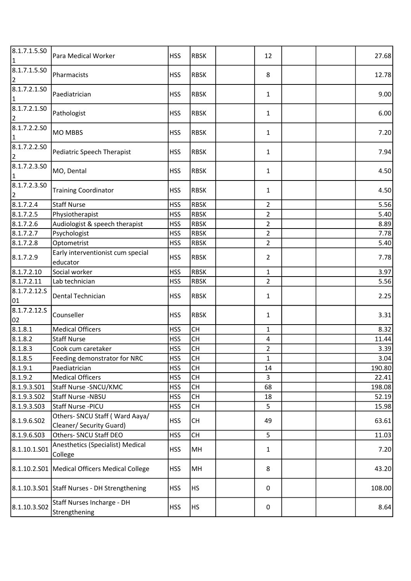| 8.1.7.1.5.50<br>1                       | Para Medical Worker                                        | <b>HSS</b> | <b>RBSK</b> | 12             |  | 27.68  |
|-----------------------------------------|------------------------------------------------------------|------------|-------------|----------------|--|--------|
| 8.1.7.1.5.50<br>2                       | Pharmacists                                                | <b>HSS</b> | <b>RBSK</b> | 8              |  | 12.78  |
| 8.1.7.2.1.50<br>1                       | Paediatrician                                              | <b>HSS</b> | <b>RBSK</b> | $\mathbf{1}$   |  | 9.00   |
| 8.1.7.2.1.50<br>$\overline{2}$          | Pathologist                                                | <b>HSS</b> | <b>RBSK</b> | $\mathbf{1}$   |  | 6.00   |
| 8.1.7.2.2.50<br>1                       | <b>MO MBBS</b>                                             | <b>HSS</b> | <b>RBSK</b> | 1              |  | 7.20   |
| 8.1.7.2.2.50<br>$\overline{\mathbf{c}}$ | Pediatric Speech Therapist                                 | <b>HSS</b> | <b>RBSK</b> | $\mathbf{1}$   |  | 7.94   |
| 8.1.7.2.3.50<br>1                       | MO, Dental                                                 | <b>HSS</b> | <b>RBSK</b> | $\mathbf{1}$   |  | 4.50   |
| 8.1.7.2.3.50<br>2                       | <b>Training Coordinator</b>                                | <b>HSS</b> | <b>RBSK</b> | 1              |  | 4.50   |
| 8.1.7.2.4                               | <b>Staff Nurse</b>                                         | <b>HSS</b> | <b>RBSK</b> | $\overline{2}$ |  | 5.56   |
| 8.1.7.2.5                               | Physiotherapist                                            | <b>HSS</b> | <b>RBSK</b> | $\overline{2}$ |  | 5.40   |
| 8.1.7.2.6                               | Audiologist & speech therapist                             | <b>HSS</b> | <b>RBSK</b> | $\overline{2}$ |  | 8.89   |
| 8.1.7.2.7                               | Psychologist                                               | <b>HSS</b> | <b>RBSK</b> | $\overline{2}$ |  | 7.78   |
| 8.1.7.2.8                               | Optometrist                                                | <b>HSS</b> | <b>RBSK</b> | $\overline{2}$ |  | 5.40   |
| 8.1.7.2.9                               | Early interventionist cum special<br>educator              | <b>HSS</b> | <b>RBSK</b> | $\overline{2}$ |  | 7.78   |
| 8.1.7.2.10                              | Social worker                                              | <b>HSS</b> | <b>RBSK</b> | $\mathbf{1}$   |  | 3.97   |
| 8.1.7.2.11                              | Lab technician                                             | <b>HSS</b> | <b>RBSK</b> | $\overline{2}$ |  | 5.56   |
| 8.1.7.2.12.S<br>01                      | Dental Technician                                          | <b>HSS</b> | <b>RBSK</b> | 1              |  | 2.25   |
| 8.1.7.2.12.5<br>02                      | Counseller                                                 | <b>HSS</b> | <b>RBSK</b> | 1              |  | 3.31   |
| 8.1.8.1                                 | <b>Medical Officers</b>                                    | <b>HSS</b> | <b>CH</b>   | $\mathbf{1}$   |  | 8.32   |
| 8.1.8.2                                 | <b>Staff Nurse</b>                                         | <b>HSS</b> | <b>CH</b>   | $\pmb{4}$      |  | 11.44  |
| 8.1.8.3                                 | Cook cum caretaker                                         | <b>HSS</b> | <b>CH</b>   | $\overline{2}$ |  | 3.39   |
| 8.1.8.5                                 | Feeding demonstrator for NRC                               | <b>HSS</b> | <b>CH</b>   | 1              |  | 3.04   |
| 8.1.9.1                                 | Paediatrician                                              | <b>HSS</b> | <b>CH</b>   | 14             |  | 190.80 |
| 8.1.9.2                                 | <b>Medical Officers</b>                                    | <b>HSS</b> | <b>CH</b>   | 3              |  | 22.41  |
| 8.1.9.3.501                             | Staff Nurse -SNCU/KMC                                      | <b>HSS</b> | <b>CH</b>   | 68             |  | 198.08 |
| 8.1.9.3.SO2                             | Staff Nurse -NBSU                                          | <b>HSS</b> | <b>CH</b>   | 18             |  | 52.19  |
| 8.1.9.3.503                             | Staff Nurse - PICU                                         | <b>HSS</b> | СH          | 5              |  | 15.98  |
| 8.1.9.6.502                             | Others- SNCU Staff (Ward Aaya/<br>Cleaner/ Security Guard) | <b>HSS</b> | <b>CH</b>   | 49             |  | 63.61  |
| 8.1.9.6.503                             | Others- SNCU Staff DEO                                     | <b>HSS</b> | <b>CH</b>   | 5              |  | 11.03  |
| 8.1.10.1.S01                            | Anesthetics (Specialist) Medical<br>College                | <b>HSS</b> | MH          | $\mathbf{1}$   |  | 7.20   |
|                                         | 8.1.10.2.S01   Medical Officers Medical College            | <b>HSS</b> | MH          | 8              |  | 43.20  |
|                                         | 8.1.10.3.S01 Staff Nurses - DH Strengthening               | <b>HSS</b> | <b>HS</b>   | 0              |  | 108.00 |
| 8.1.10.3.502                            | Staff Nurses Incharge - DH<br>Strengthening                | <b>HSS</b> | <b>HS</b>   | 0              |  | 8.64   |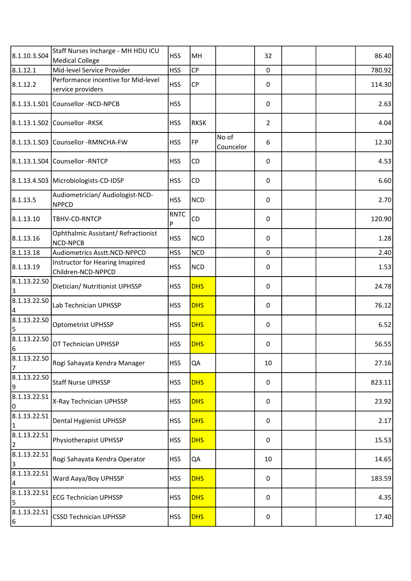| 8.1.10.3.S04                 | Staff Nurses Incharge - MH HDU ICU<br><b>Medical College</b> | <b>HSS</b>       | MH          |                    | 32             |  | 86.40  |
|------------------------------|--------------------------------------------------------------|------------------|-------------|--------------------|----------------|--|--------|
| 8.1.12.1                     | Mid-level Service Provider                                   | <b>HSS</b>       | CP          |                    | 0              |  | 780.92 |
| 8.1.12.2                     | Performance incentive for Mid-level<br>service providers     | <b>HSS</b>       | CP          |                    | 0              |  | 114.30 |
|                              | 8.1.13.1.S01 Counsellor -NCD-NPCB                            | <b>HSS</b>       |             |                    | 0              |  | 2.63   |
|                              | 8.1.13.1.S02 Counsellor -RKSK                                | <b>HSS</b>       | <b>RKSK</b> |                    | $\overline{2}$ |  | 4.04   |
|                              | 8.1.13.1.S03 Counsellor -RMNCHA-FW                           | <b>HSS</b>       | FP          | No of<br>Councelor | 6              |  | 12.30  |
|                              | 8.1.13.1.S04 Counsellor -RNTCP                               | <b>HSS</b>       | CD          |                    | 0              |  | 4.53   |
|                              | 8.1.13.4.S03 Microbiologists-CD-IDSP                         | <b>HSS</b>       | CD          |                    | 0              |  | 6.60   |
| 8.1.13.5                     | Audiometrician/ Audiologist-NCD-<br><b>NPPCD</b>             | <b>HSS</b>       | <b>NCD</b>  |                    | 0              |  | 2.70   |
| 8.1.13.10                    | TBHV-CD-RNTCP                                                | <b>RNTC</b><br>P | CD          |                    | 0              |  | 120.90 |
| 8.1.13.16                    | Ophthalmic Assistant/Refractionist<br>NCD-NPCB               | <b>HSS</b>       | <b>NCD</b>  |                    | 0              |  | 1.28   |
| 8.1.13.18                    | Audiometrics Asstt.NCD-NPPCD                                 | <b>HSS</b>       | <b>NCD</b>  |                    | $\pmb{0}$      |  | 2.40   |
| 8.1.13.19                    | Instructor for Hearing Imapired<br>Children-NCD-NPPCD        | <b>HSS</b>       | <b>NCD</b>  |                    | 0              |  | 1.53   |
| 8.1.13.22.50<br>3            | Dietician/ Nutritionist UPHSSP                               | <b>HSS</b>       | <b>DHS</b>  |                    | 0              |  | 24.78  |
| 8.1.13.22.50<br>4            | Lab Technician UPHSSP                                        | <b>HSS</b>       | <b>DHS</b>  |                    | 0              |  | 76.12  |
| 8.1.13.22.50<br>5            | Optometrist UPHSSP                                           | <b>HSS</b>       | <b>DHS</b>  |                    | 0              |  | 6.52   |
| 8.1.13.22.50<br>6            | OT Technician UPHSSP                                         | <b>HSS</b>       | <b>DHS</b>  |                    | 0              |  | 56.55  |
| 8.1.13.22.50<br>7            | Rogi Sahayata Kendra Manager                                 | <b>HSS</b>       | QA          |                    | 10             |  | 27.16  |
| 8.1.13.22.50<br>9            | <b>Staff Nurse UPHSSP</b>                                    | <b>HSS</b>       | <b>DHS</b>  |                    | 0              |  | 823.11 |
| 8.1.13.22.51<br>0            | X-Ray Technician UPHSSP                                      | <b>HSS</b>       | <b>DHS</b>  |                    | 0              |  | 23.92  |
| 8.1.13.22.51<br>$\mathbf{1}$ | Dental Hygienist UPHSSP                                      | <b>HSS</b>       | <b>DHS</b>  |                    | 0              |  | 2.17   |
| 8.1.13.22.51<br>2            | Physiotherapist UPHSSP                                       | <b>HSS</b>       | <b>DHS</b>  |                    | 0              |  | 15.53  |
| 8.1.13.22.51<br>3            | Rogi Sahayata Kendra Operator                                | <b>HSS</b>       | QA          |                    | 10             |  | 14.65  |
| 8.1.13.22.51<br>4            | Ward Aaya/Boy UPHSSP                                         | <b>HSS</b>       | <b>DHS</b>  |                    | 0              |  | 183.59 |
| 8.1.13.22.S1<br>5            | <b>ECG Technician UPHSSP</b>                                 | <b>HSS</b>       | <b>DHS</b>  |                    | 0              |  | 4.35   |
| 8.1.13.22.51<br>6            | <b>CSSD Technician UPHSSP</b>                                | <b>HSS</b>       | <b>DHS</b>  |                    | 0              |  | 17.40  |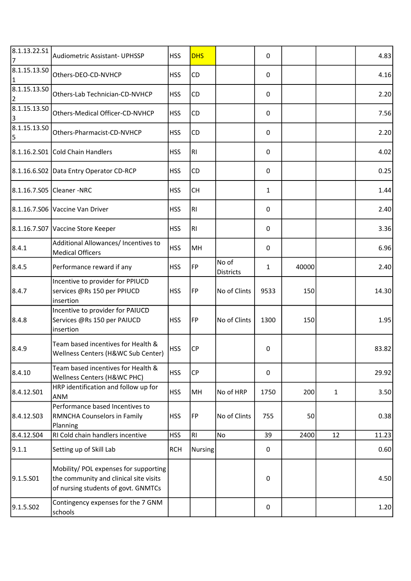| 8.1.13.22.51<br>7            | Audiometric Assistant- UPHSSP                                                                                          | <b>HSS</b> | <b>DHS</b>     |                           | 0    |       |              | 4.83  |
|------------------------------|------------------------------------------------------------------------------------------------------------------------|------------|----------------|---------------------------|------|-------|--------------|-------|
| 8.1.15.13.50<br>$\mathbf{1}$ | Others-DEO-CD-NVHCP                                                                                                    | <b>HSS</b> | CD             |                           | 0    |       |              | 4.16  |
| 8.1.15.13.50<br>2            | Others-Lab Technician-CD-NVHCP                                                                                         | <b>HSS</b> | CD             |                           | 0    |       |              | 2.20  |
| 8.1.15.13.SO<br>3            | Others-Medical Officer-CD-NVHCP                                                                                        | <b>HSS</b> | <b>CD</b>      |                           | 0    |       |              | 7.56  |
| 8.1.15.13.50<br>5            | Others-Pharmacist-CD-NVHCP                                                                                             | <b>HSS</b> | CD             |                           | 0    |       |              | 2.20  |
|                              | 8.1.16.2.S01 Cold Chain Handlers                                                                                       | <b>HSS</b> | RI             |                           | 0    |       |              | 4.02  |
|                              | 8.1.16.6.S02 Data Entry Operator CD-RCP                                                                                | <b>HSS</b> | CD             |                           | 0    |       |              | 0.25  |
|                              | 8.1.16.7.S05 Cleaner - NRC                                                                                             | <b>HSS</b> | <b>CH</b>      |                           | 1    |       |              | 1.44  |
|                              | 8.1.16.7.S06 Vaccine Van Driver                                                                                        | <b>HSS</b> | RI             |                           | 0    |       |              | 2.40  |
|                              | 8.1.16.7.S07 Vaccine Store Keeper                                                                                      | <b>HSS</b> | RI             |                           | 0    |       |              | 3.36  |
| 8.4.1                        | Additional Allowances/ Incentives to<br><b>Medical Officers</b>                                                        | <b>HSS</b> | MH             |                           | 0    |       |              | 6.96  |
| 8.4.5                        | Performance reward if any                                                                                              | <b>HSS</b> | FP             | No of<br><b>Districts</b> | 1    | 40000 |              | 2.40  |
| 8.4.7                        | Incentive to provider for PPIUCD<br>services @Rs 150 per PPIUCD<br>insertion                                           | <b>HSS</b> | FP             | No of Clints              | 9533 | 150   |              | 14.30 |
| 8.4.8                        | Incentive to provider for PAIUCD<br>Services @Rs 150 per PAIUCD<br>insertion                                           | <b>HSS</b> | FP             | No of Clints              | 1300 | 150   |              | 1.95  |
| 8.4.9                        | Team based incentives for Health &<br>Wellness Centers (H&WC Sub Center)                                               | <b>HSS</b> | <b>CP</b>      |                           | 0    |       |              | 83.82 |
| 8.4.10                       | Team based incentives for Health &<br>Wellness Centers (H&WC PHC)                                                      | <b>HSS</b> | CP             |                           | 0    |       |              | 29.92 |
| 8.4.12.S01                   | HRP identification and follow up for<br>ANM                                                                            | <b>HSS</b> | MH             | No of HRP                 | 1750 | 200   | $\mathbf{1}$ | 3.50  |
| 8.4.12.S03                   | Performance based Incentives to<br>RMNCHA Counselors in Family<br>Planning                                             | <b>HSS</b> | FP             | No of Clints              | 755  | 50    |              | 0.38  |
| 8.4.12.S04                   | RI Cold chain handlers incentive                                                                                       | <b>HSS</b> | R <sub>1</sub> | No                        | 39   | 2400  | 12           | 11.23 |
| 9.1.1                        | Setting up of Skill Lab                                                                                                | <b>RCH</b> | <b>Nursing</b> |                           | 0    |       |              | 0.60  |
| 9.1.5.S01                    | Mobility/ POL expenses for supporting<br>the community and clinical site visits<br>of nursing students of govt. GNMTCs |            |                |                           | 0    |       |              | 4.50  |
| 9.1.5.SO <sub>2</sub>        | Contingency expenses for the 7 GNM<br>schools                                                                          |            |                |                           | 0    |       |              | 1.20  |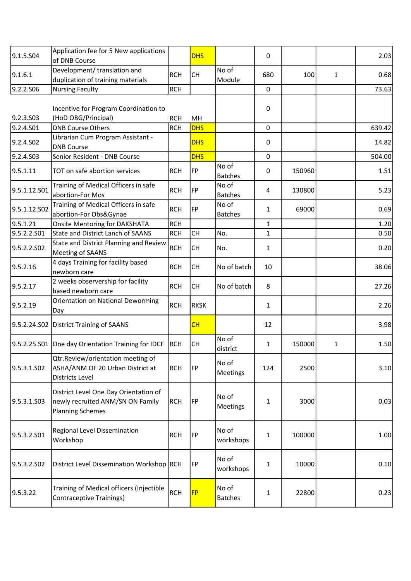| 9.1.5.504             | Application fee for 5 New applications<br>of DNB Course                                              |            | <b>DHS</b>  |                          | 0            |        |              | 2.03   |
|-----------------------|------------------------------------------------------------------------------------------------------|------------|-------------|--------------------------|--------------|--------|--------------|--------|
| 9.1.6.1               | Development/ translation and<br>duplication of training materials                                    | <b>RCH</b> | <b>CH</b>   | No of<br>Module          | 680          | 100    | $\mathbf{1}$ | 0.68   |
| 9.2.2.S06             | <b>Nursing Faculty</b>                                                                               | <b>RCH</b> |             |                          | 0            |        |              | 73.63  |
|                       |                                                                                                      |            |             |                          |              |        |              |        |
|                       | Incentive for Program Coordination to                                                                |            |             |                          | 0            |        |              |        |
| 9.2.3.S03             | (HoD OBG/Principal)                                                                                  | <b>RCH</b> | MH          |                          |              |        |              |        |
| 9.2.4.S01             | <b>DNB Course Others</b>                                                                             | <b>RCH</b> | <b>DHS</b>  |                          | $\mathsf 0$  |        |              | 639.42 |
| 9.2.4.SO <sub>2</sub> | Librarian Cum Program Assistant -<br><b>DNB Course</b>                                               |            | <b>DHS</b>  |                          | 0            |        |              | 14.82  |
| 9.2.4.S03             | Senior Resident - DNB Course                                                                         |            | <b>DHS</b>  |                          | 0            |        |              | 504.00 |
| 9.5.1.11              | TOT on safe abortion services                                                                        | <b>RCH</b> | FP          | No of<br><b>Batches</b>  | 0            | 150960 |              | 1.51   |
| 9.5.1.12.S01          | Training of Medical Officers in safe<br>abortion-For Mos                                             | <b>RCH</b> | FP          | No of<br><b>Batches</b>  | 4            | 130800 |              | 5.23   |
| 9.5.1.12.S02          | Training of Medical Officers in safe<br>abortion-For Obs&Gynae                                       | <b>RCH</b> | FP          | No of<br><b>Batches</b>  | $\mathbf{1}$ | 69000  |              | 0.69   |
| 9.5.1.21              | <b>Onsite Mentoring for DAKSHATA</b>                                                                 | <b>RCH</b> |             |                          | $\mathbf{1}$ |        |              | 1.20   |
| 9.5.2.2.S01           | <b>State and District Lanch of SAANS</b>                                                             | <b>RCH</b> | <b>CH</b>   | No.                      | $\mathbf{1}$ |        |              | 0.50   |
| 9.5.2.2.S02           | State and District Planning and Review<br>Meeting of SAANS                                           | <b>RCH</b> | <b>CH</b>   | No.                      | 1            |        |              | 0.20   |
| 9.5.2.16              | 4 days Training for facility based<br>newborn care                                                   | <b>RCH</b> | <b>CH</b>   | No of batch              | 10           |        |              | 38.06  |
| 9.5.2.17              | 2 weeks observership for facility<br>based newborn care                                              | <b>RCH</b> | <b>CH</b>   | No of batch              | 8            |        |              | 27.26  |
| 9.5.2.19              | Orientation on National Deworming<br>Day                                                             | <b>RCH</b> | <b>RKSK</b> |                          | $\mathbf{1}$ |        |              | 2.26   |
|                       | 9.5.2.24.S02 District Training of SAANS                                                              |            | CH          |                          | 12           |        |              | 3.98   |
|                       | 9.5.2.25.S01 One day Orientation Training for IDCF                                                   | RCH        | <b>CH</b>   | No of<br>district        | 1            | 150000 | 1            | 1.50   |
| 9.5.3.1.SO2           | Qtr.Review/orientation meeting of<br>ASHA/ANM OF 20 Urban District at<br><b>Districts Level</b>      | <b>RCH</b> | FP          | No of<br><b>Meetings</b> | 124          | 2500   |              | 3.10   |
| 9.5.3.1.503           | District Level One Day Orientation of<br>newly recruited ANM/SN ON Family<br><b>Planning Schemes</b> | <b>RCH</b> | FP          | No of<br>Meetings        | 1            | 3000   |              | 0.03   |
| 9.5.3.2.S01           | Regional Level Dissemination<br>Workshop                                                             | <b>RCH</b> | FP          | No of<br>workshops       | 1            | 100000 |              | 1.00   |
| 9.5.3.2.502           | District Level Dissemination Workshop RCH                                                            |            | FP          | No of<br>workshops       | $\mathbf{1}$ | 10000  |              | 0.10   |
| 9.5.3.22              | Training of Medical officers (Injectible<br><b>Contraceptive Trainings)</b>                          | <b>RCH</b> | <b>FP</b>   | No of<br><b>Batches</b>  | 1            | 22800  |              | 0.23   |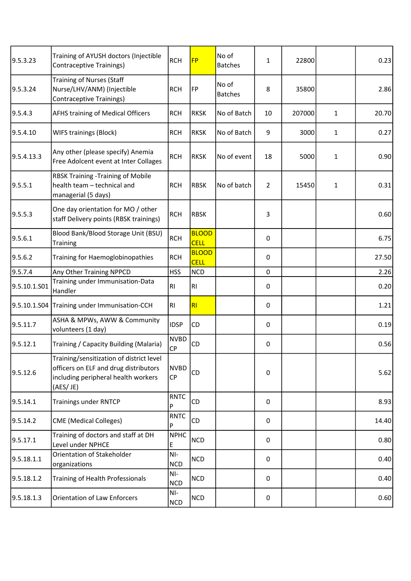| 9.5.3.23     | Training of AYUSH doctors (Injectible<br><b>Contraceptive Trainings)</b>                                                             | <b>RCH</b>               | <b>FP</b>                   | No of<br><b>Batches</b> | 1              | 22800  |              | 0.23  |
|--------------|--------------------------------------------------------------------------------------------------------------------------------------|--------------------------|-----------------------------|-------------------------|----------------|--------|--------------|-------|
| 9.5.3.24     | <b>Training of Nurses (Staff</b><br>Nurse/LHV/ANM) (Injectible<br><b>Contraceptive Trainings)</b>                                    | <b>RCH</b>               | FP                          | No of<br><b>Batches</b> | 8              | 35800  |              | 2.86  |
| 9.5.4.3      | <b>AFHS training of Medical Officers</b>                                                                                             | <b>RCH</b>               | <b>RKSK</b>                 | No of Batch             | 10             | 207000 | 1            | 20.70 |
| 9.5.4.10     | WIFS trainings (Block)                                                                                                               | <b>RCH</b>               | <b>RKSK</b>                 | No of Batch             | 9              | 3000   | 1            | 0.27  |
| 9.5.4.13.3   | Any other (please specify) Anemia<br>Free Adolcent event at Inter Collages                                                           | <b>RCH</b>               | <b>RKSK</b>                 | No of event             | 18             | 5000   | $\mathbf{1}$ | 0.90  |
| 9.5.5.1      | RBSK Training - Training of Mobile<br>health team - technical and<br>managerial (5 days)                                             | <b>RCH</b>               | <b>RBSK</b>                 | No of batch             | $\overline{2}$ | 15450  | 1            | 0.31  |
| 9.5.5.3      | One day orientation for MO / other<br>staff Delivery points (RBSK trainings)                                                         | <b>RCH</b>               | <b>RBSK</b>                 |                         | 3              |        |              | 0.60  |
| 9.5.6.1      | Blood Bank/Blood Storage Unit (BSU)<br>Training                                                                                      | <b>RCH</b>               | <b>BLOOD</b><br><b>CELL</b> |                         | 0              |        |              | 6.75  |
| 9.5.6.2      | Training for Haemoglobinopathies                                                                                                     | <b>RCH</b>               | <b>BLOOD</b><br><b>CELL</b> |                         | 0              |        |              | 27.50 |
| 9.5.7.4      | Any Other Training NPPCD                                                                                                             | <b>HSS</b>               | <b>NCD</b>                  |                         | 0              |        |              | 2.26  |
| 9.5.10.1.S01 | Training under Immunisation-Data<br>Handler                                                                                          | RI.                      | R <sub>l</sub>              |                         | 0              |        |              | 0.20  |
|              | 9.5.10.1.S04 Training under Immunisation-CCH                                                                                         | RI.                      | RI                          |                         | 0              |        |              | 1.21  |
| 9.5.11.7     | ASHA & MPWs, AWW & Community<br>volunteers (1 day)                                                                                   | <b>IDSP</b>              | CD                          |                         | 0              |        |              | 0.19  |
| 9.5.12.1     | Training / Capacity Building (Malaria)                                                                                               | <b>NVBD</b><br><b>CP</b> | CD                          |                         | 0              |        |              | 0.56  |
| 9.5.12.6     | Training/sensitization of district level<br>officers on ELF and drug distributors<br>including peripheral health workers<br>(AES/JE) | <b>NVBD</b><br>CP        | CD                          |                         | 0              |        |              | 5.62  |
| 9.5.14.1     | <b>Trainings under RNTCP</b>                                                                                                         | <b>RNTC</b><br>P         | CD                          |                         | 0              |        |              | 8.93  |
| 9.5.14.2     | <b>CME</b> (Medical Colleges)                                                                                                        | <b>RNTC</b><br>P         | CD                          |                         | 0              |        |              | 14.40 |
| 9.5.17.1     | Training of doctors and staff at DH<br>Level under NPHCE                                                                             | <b>NPHC</b><br>Ε         | <b>NCD</b>                  |                         | 0              |        |              | 0.80  |
| 9.5.18.1.1   | Orientation of Stakeholder<br>organizations                                                                                          | NI-<br><b>NCD</b>        | <b>NCD</b>                  |                         | 0              |        |              | 0.40  |
| 9.5.18.1.2   | Training of Health Professionals                                                                                                     | NI-<br><b>NCD</b>        | <b>NCD</b>                  |                         | 0              |        |              | 0.40  |
| 9.5.18.1.3   | Orientation of Law Enforcers                                                                                                         | $NI-$<br><b>NCD</b>      | <b>NCD</b>                  |                         | 0              |        |              | 0.60  |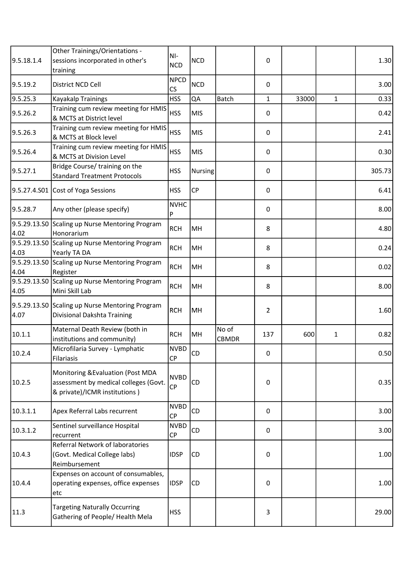| 9.5.18.1.4   | Other Trainings/Orientations -<br>sessions incorporated in other's<br>training                               | NI-<br><b>NCD</b>                     | <b>NCD</b>     |                       | 0   |       |              | 1.30   |
|--------------|--------------------------------------------------------------------------------------------------------------|---------------------------------------|----------------|-----------------------|-----|-------|--------------|--------|
| 9.5.19.2     | District NCD Cell                                                                                            | <b>NPCD</b><br>$\overline{\text{CS}}$ | <b>NCD</b>     |                       | 0   |       |              | 3.00   |
| 9.5.25.3     | Kayakalp Trainings                                                                                           | <b>HSS</b>                            | QA             | Batch                 | 1   | 33000 | $\mathbf{1}$ | 0.33   |
| 9.5.26.2     | Training cum review meeting for HMIS<br>& MCTS at District level                                             | <b>HSS</b>                            | <b>MIS</b>     |                       | 0   |       |              | 0.42   |
| 9.5.26.3     | Training cum review meeting for HMIS<br>& MCTS at Block level                                                | <b>HSS</b>                            | <b>MIS</b>     |                       | 0   |       |              | 2.41   |
| 9.5.26.4     | Training cum review meeting for HMIS<br>& MCTS at Division Level                                             | <b>HSS</b>                            | <b>MIS</b>     |                       | 0   |       |              | 0.30   |
| 9.5.27.1     | Bridge Course/training on the<br><b>Standard Treatment Protocols</b>                                         | <b>HSS</b>                            | <b>Nursing</b> |                       | 0   |       |              | 305.73 |
| 9.5.27.4.S01 | Cost of Yoga Sessions                                                                                        | <b>HSS</b>                            | <b>CP</b>      |                       | 0   |       |              | 6.41   |
| 9.5.28.7     | Any other (please specify)                                                                                   | <b>NVHC</b><br>P                      |                |                       | 0   |       |              | 8.00   |
| 4.02         | 9.5.29.13.S0 Scaling up Nurse Mentoring Program<br>Honorarium                                                | <b>RCH</b>                            | MH             |                       | 8   |       |              | 4.80   |
| 4.03         | 9.5.29.13.S0 Scaling up Nurse Mentoring Program<br>Yearly TA DA                                              | <b>RCH</b>                            | MH             |                       | 8   |       |              | 0.24   |
| 4.04         | 9.5.29.13.S0 Scaling up Nurse Mentoring Program<br>Register                                                  | <b>RCH</b>                            | MH             |                       | 8   |       |              | 0.02   |
| 4.05         | 9.5.29.13.SO Scaling up Nurse Mentoring Program<br>Mini Skill Lab                                            | <b>RCH</b>                            | MH             |                       | 8   |       |              | 8.00   |
| 4.07         | 9.5.29.13.S0 Scaling up Nurse Mentoring Program<br>Divisional Dakshta Training                               | <b>RCH</b>                            | MH             |                       | 2   |       |              | 1.60   |
| 10.1.1       | Maternal Death Review (both in<br>institutions and community)                                                | <b>RCH</b>                            | MH             | No of<br><b>CBMDR</b> | 137 | 600   | 1            | 0.82   |
| 10.2.4       | Microfilaria Survey - Lymphatic<br><b>Filariasis</b>                                                         | <b>NVBD</b><br>CP                     | CD             |                       | 0   |       |              | 0.50   |
| 10.2.5       | Monitoring & Evaluation (Post MDA<br>assessment by medical colleges (Govt.<br>& private)/ICMR institutions ) | <b>NVBD</b><br>CP                     | CD             |                       | 0   |       |              | 0.35   |
| 10.3.1.1     | Apex Referral Labs recurrent                                                                                 | <b>NVBD</b><br><b>CP</b>              | CD             |                       | 0   |       |              | 3.00   |
| 10.3.1.2     | Sentinel surveillance Hospital<br>recurrent                                                                  | <b>NVBD</b><br>CP                     | CD             |                       | 0   |       |              | 3.00   |
| 10.4.3       | Referral Network of laboratories<br>(Govt. Medical College labs)<br>Reimbursement                            | <b>IDSP</b>                           | <b>CD</b>      |                       | 0   |       |              | 1.00   |
| 10.4.4       | Expenses on account of consumables,<br>operating expenses, office expenses<br>etc                            | <b>IDSP</b>                           | CD             |                       | 0   |       |              | 1.00   |
| 11.3         | <b>Targeting Naturally Occurring</b><br>Gathering of People/ Health Mela                                     | <b>HSS</b>                            |                |                       | 3   |       |              | 29.00  |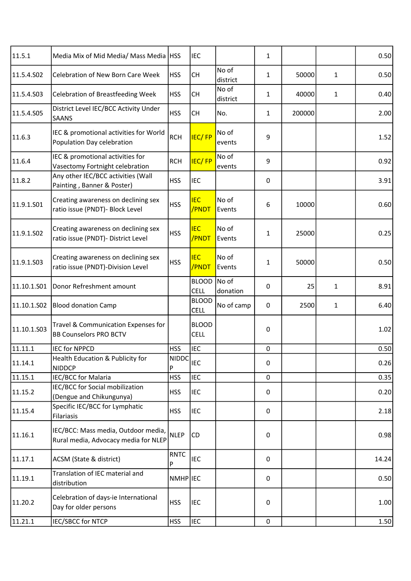| 11.5.1      | Media Mix of Mid Media/ Mass Media   HSS                                    |                                   | <b>IEC</b>                  |                   | 1            |        |              | 0.50  |
|-------------|-----------------------------------------------------------------------------|-----------------------------------|-----------------------------|-------------------|--------------|--------|--------------|-------|
| 11.5.4.S02  | Celebration of New Born Care Week                                           | <b>HSS</b>                        | <b>CH</b>                   | No of<br>district | $\mathbf{1}$ | 50000  | $\mathbf{1}$ | 0.50  |
| 11.5.4.S03  | Celebration of Breastfeeding Week                                           | <b>HSS</b>                        | <b>CH</b>                   | No of<br>district | $\mathbf{1}$ | 40000  | $\mathbf{1}$ | 0.40  |
| 11.5.4.S05  | District Level IEC/BCC Activity Under<br><b>SAANS</b>                       | <b>HSS</b>                        | <b>CH</b>                   | No.               | 1            | 200000 |              | 2.00  |
| 11.6.3      | IEC & promotional activities for World<br>Population Day celebration        | <b>RCH</b>                        | <b>IEC/FP</b>               | No of<br>events   | 9            |        |              | 1.52  |
| 11.6.4      | IEC & promotional activities for<br>Vasectomy Fortnight celebration         | <b>RCH</b>                        | <b>IEC/FP</b>               | No of<br>events   | 9            |        |              | 0.92  |
| 11.8.2      | Any other IEC/BCC activities (Wall<br>Painting, Banner & Poster)            | <b>HSS</b>                        | <b>IEC</b>                  |                   | 0            |        |              | 3.91  |
| 11.9.1.S01  | Creating awareness on declining sex<br>ratio issue (PNDT)- Block Level      | <b>HSS</b>                        | <b>IEC</b><br>/PNDT         | No of<br>Events   | 6            | 10000  |              | 0.60  |
| 11.9.1.S02  | Creating awareness on declining sex<br>ratio issue (PNDT)- District Level   | <b>HSS</b>                        | <b>IEC</b><br>/PNDT         | No of<br>Events   | 1            | 25000  |              | 0.25  |
| 11.9.1.S03  | Creating awareness on declining sex<br>ratio issue (PNDT)-Division Level    | <b>HSS</b>                        | <b>IEC</b><br>/PNDT         | No of<br>Events   | 1            | 50000  |              | 0.50  |
| 11.10.1.501 | Donor Refreshment amount                                                    |                                   | <b>BLOOD</b><br><b>CELL</b> | No of<br>donation | 0            | 25     | $\mathbf{1}$ | 8.91  |
| 11.10.1.S02 | <b>Blood donation Camp</b>                                                  |                                   | <b>BLOOD</b><br><b>CELL</b> | No of camp        | 0            | 2500   | 1            | 6.40  |
| 11.10.1.S03 | Travel & Communication Expenses for<br><b>BB Counselors PRO BCTV</b>        |                                   | <b>BLOOD</b><br><b>CELL</b> |                   | 0            |        |              | 1.02  |
| 11.11.1     | <b>IEC for NPPCD</b>                                                        | <b>HSS</b>                        | <b>IEC</b>                  |                   | 0            |        |              | 0.50  |
| 11.14.1     | Health Education & Publicity for<br><b>NIDDCP</b>                           | $\frac{1}{\sqrt{NIDDC}}$ IEC<br>P |                             |                   | 0            |        |              | 0.26  |
| 11.15.1     | <b>IEC/BCC for Malaria</b>                                                  | <b>HSS</b>                        | <b>IEC</b>                  |                   | 0            |        |              | 0.35  |
| 11.15.2     | IEC/BCC for Social mobilization<br>(Dengue and Chikungunya)                 | <b>HSS</b>                        | <b>IEC</b>                  |                   | 0            |        |              | 0.20  |
| 11.15.4     | Specific IEC/BCC for Lymphatic<br><b>Filariasis</b>                         | <b>HSS</b>                        | IEC                         |                   | 0            |        |              | 2.18  |
| 11.16.1     | IEC/BCC: Mass media, Outdoor media,<br>Rural media, Advocacy media for NLEP | <b>NLEP</b>                       | CD                          |                   | 0            |        |              | 0.98  |
| 11.17.1     | ACSM (State & district)                                                     | <b>RNTC</b><br>P                  | IEC                         |                   | 0            |        |              | 14.24 |
| 11.19.1     | Translation of IEC material and<br>distribution                             | NMHP IEC                          |                             |                   | 0            |        |              | 0.50  |
| 11.20.2     | Celebration of days-ie International<br>Day for older persons               | <b>HSS</b>                        | IEC                         |                   | 0            |        |              | 1.00  |
| 11.21.1     | IEC/SBCC for NTCP                                                           | <b>HSS</b>                        | <b>IEC</b>                  |                   | $\pmb{0}$    |        |              | 1.50  |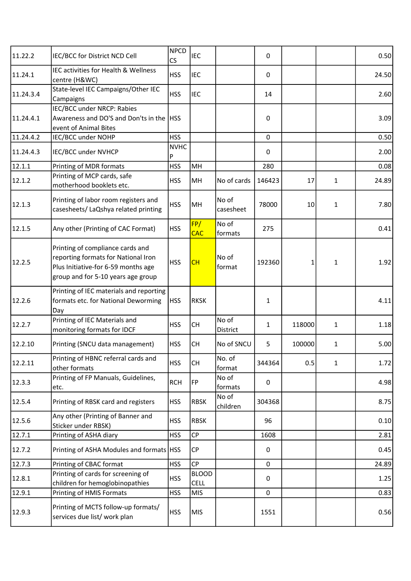| 11.22.2   | IEC/BCC for District NCD Cell                                                                                                                        | <b>NPCD</b><br>$\overline{\text{CS}}$ | <b>IEC</b>                  |                    | 0      |        |              | 0.50  |
|-----------|------------------------------------------------------------------------------------------------------------------------------------------------------|---------------------------------------|-----------------------------|--------------------|--------|--------|--------------|-------|
| 11.24.1   | IEC activities for Health & Wellness<br>centre (H&WC)                                                                                                | <b>HSS</b>                            | <b>IEC</b>                  |                    | 0      |        |              | 24.50 |
| 11.24.3.4 | State-level IEC Campaigns/Other IEC<br>Campaigns                                                                                                     | <b>HSS</b>                            | <b>IEC</b>                  |                    | 14     |        |              | 2.60  |
| 11.24.4.1 | IEC/BCC under NRCP: Rabies<br>Awareness and DO'S and Don'ts in the<br>event of Animal Bites                                                          | <b>HSS</b>                            |                             |                    | 0      |        |              | 3.09  |
| 11.24.4.2 | IEC/BCC under NOHP                                                                                                                                   | <b>HSS</b>                            |                             |                    | 0      |        |              | 0.50  |
| 11.24.4.3 | IEC/BCC under NVHCP                                                                                                                                  | <b>NVHC</b><br>P                      |                             |                    | 0      |        |              | 2.00  |
| 12.1.1    | Printing of MDR formats                                                                                                                              | <b>HSS</b>                            | MH                          |                    | 280    |        |              | 0.08  |
| 12.1.2    | Printing of MCP cards, safe<br>motherhood booklets etc.                                                                                              | <b>HSS</b>                            | MH                          | No of cards        | 146423 | 17     | 1            | 24.89 |
| 12.1.3    | Printing of labor room registers and<br>casesheets/ LaQshya related printing                                                                         | <b>HSS</b>                            | MH                          | No of<br>casesheet | 78000  | 10     | 1            | 7.80  |
| 12.1.5    | Any other (Printing of CAC Format)                                                                                                                   | <b>HSS</b>                            | FP/<br><b>CAC</b>           | No of<br>formats   | 275    |        |              | 0.41  |
| 12.2.5    | Printing of compliance cards and<br>reporting formats for National Iron<br>Plus Initiative-for 6-59 months age<br>group and for 5-10 years age group | <b>HSS</b>                            | CH                          | No of<br>format    | 192360 | 1      | 1            | 1.92  |
| 12.2.6    | Printing of IEC materials and reporting<br>formats etc. for National Deworming<br>Day                                                                | <b>HSS</b>                            | <b>RKSK</b>                 |                    | 1      |        |              | 4.11  |
| 12.2.7    | Printing of IEC Materials and<br>monitoring formats for IDCF                                                                                         | <b>HSS</b>                            | <b>CH</b>                   | No of<br>District  | 1      | 118000 | 1            | 1.18  |
| 12.2.10   | Printing (SNCU data management)                                                                                                                      | <b>HSS</b>                            | <b>CH</b>                   | No of SNCU         | 5      | 100000 | 1            | 5.00  |
| 12.2.11   | Printing of HBNC referral cards and<br>other formats                                                                                                 | <b>HSS</b>                            | <b>CH</b>                   | No. of<br>format   | 344364 | 0.5    | $\mathbf{1}$ | 1.72  |
| 12.3.3    | Printing of FP Manuals, Guidelines,<br>etc.                                                                                                          | <b>RCH</b>                            | FP                          | No of<br>formats   | 0      |        |              | 4.98  |
| 12.5.4    | Printing of RBSK card and registers                                                                                                                  | <b>HSS</b>                            | <b>RBSK</b>                 | No of<br>children  | 304368 |        |              | 8.75  |
| 12.5.6    | Any other (Printing of Banner and<br>Sticker under RBSK)                                                                                             | <b>HSS</b>                            | <b>RBSK</b>                 |                    | 96     |        |              | 0.10  |
| 12.7.1    | Printing of ASHA diary                                                                                                                               | <b>HSS</b>                            | <b>CP</b>                   |                    | 1608   |        |              | 2.81  |
| 12.7.2    | Printing of ASHA Modules and formats   HSS                                                                                                           |                                       | <b>CP</b>                   |                    | 0      |        |              | 0.45  |
| 12.7.3    | Printing of CBAC format                                                                                                                              | <b>HSS</b>                            | <b>CP</b>                   |                    | 0      |        |              | 24.89 |
| 12.8.1    | Printing of cards for screening of<br>children for hemoglobinopathies                                                                                | <b>HSS</b>                            | <b>BLOOD</b><br><b>CELL</b> |                    | 0      |        |              | 1.25  |
| 12.9.1    | Printing of HMIS Formats                                                                                                                             | <b>HSS</b>                            | <b>MIS</b>                  |                    | 0      |        |              | 0.83  |
| 12.9.3    | Printing of MCTS follow-up formats/<br>services due list/ work plan                                                                                  | <b>HSS</b>                            | <b>MIS</b>                  |                    | 1551   |        |              | 0.56  |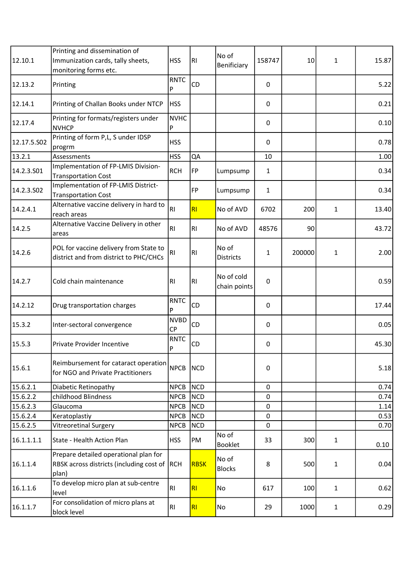| 12.10.1     | Printing and dissemination of<br>Immunization cards, tally sheets,<br>monitoring forms etc.    | <b>HSS</b>               | R <sub>1</sub> | No of<br>Benificiary       | 158747 | 10     | $\mathbf{1}$ | 15.87 |
|-------------|------------------------------------------------------------------------------------------------|--------------------------|----------------|----------------------------|--------|--------|--------------|-------|
| 12.13.2     | Printing                                                                                       | <b>RNTC</b><br>P         | CD             |                            | 0      |        |              | 5.22  |
| 12.14.1     | Printing of Challan Books under NTCP                                                           | <b>HSS</b>               |                |                            | 0      |        |              | 0.21  |
| 12.17.4     | Printing for formats/registers under<br><b>NVHCP</b>                                           | <b>NVHC</b><br>P         |                |                            | 0      |        |              | 0.10  |
| 12.17.5.502 | Printing of form P,L, S under IDSP<br>progrm                                                   | <b>HSS</b>               |                |                            | 0      |        |              | 0.78  |
| 13.2.1      | Assessments                                                                                    | <b>HSS</b>               | QA             |                            | 10     |        |              | 1.00  |
| 14.2.3.S01  | Implementation of FP-LMIS Division-<br>Transportation Cost                                     | <b>RCH</b>               | FP             | Lumpsump                   | 1      |        |              | 0.34  |
| 14.2.3.S02  | Implementation of FP-LMIS District-<br>Transportation Cost                                     |                          | <b>FP</b>      | Lumpsump                   | 1      |        |              | 0.34  |
| 14.2.4.1    | Alternative vaccine delivery in hard to<br>reach areas                                         | RI.                      | RI             | No of AVD                  | 6702   | 200    | 1            | 13.40 |
| 14.2.5      | Alternative Vaccine Delivery in other<br>areas                                                 | RI                       | <b>RI</b>      | No of AVD                  | 48576  | 90     |              | 43.72 |
| 14.2.6      | POL for vaccine delivery from State to<br>district and from district to PHC/CHCs               | R <sub>1</sub>           | R <sub>l</sub> | No of<br><b>Districts</b>  | 1      | 200000 | 1            | 2.00  |
| 14.2.7      | Cold chain maintenance                                                                         | RI                       | RI             | No of cold<br>chain points | 0      |        |              | 0.59  |
| 14.2.12     | Drug transportation charges                                                                    | RNTC<br>P                | CD             |                            | 0      |        |              | 17.44 |
| 15.3.2      | Inter-sectoral convergence                                                                     | <b>NVBD</b><br><b>CP</b> | CD             |                            | 0      |        |              | 0.05  |
| 15.5.3      | Private Provider Incentive                                                                     | <b>RNTC</b><br>P         | CD             |                            | 0      |        |              | 45.30 |
| 15.6.1      | <br> Reimbursement for cataract operation  <br> NPCB<br>for NGO and Private Practitioners      |                          | <b>NCD</b>     |                            | 0      |        |              | 5.18  |
| 15.6.2.1    | Diabetic Retinopathy                                                                           | <b>NPCB</b>              | NCD            |                            | 0      |        |              | 0.74  |
| 15.6.2.2    | childhood Blindness                                                                            | <b>NPCB</b>              | <b>NCD</b>     |                            | 0      |        |              | 0.74  |
| 15.6.2.3    | Glaucoma                                                                                       | <b>NPCB</b>              | <b>NCD</b>     |                            | 0      |        |              | 1.14  |
| 15.6.2.4    | Keratoplastiy                                                                                  | <b>NPCB</b>              | <b>NCD</b>     |                            | 0      |        |              | 0.53  |
| 15.6.2.5    | <b>Vitreoretinal Surgery</b>                                                                   | <b>NPCB</b>              | <b>NCD</b>     |                            | 0      |        |              | 0.70  |
| 16.1.1.1.1  | State - Health Action Plan                                                                     | <b>HSS</b>               | PM             | No of<br>Booklet           | 33     | 300    | $\mathbf{1}$ | 0.10  |
| 16.1.1.4    | Prepare detailed operational plan for<br>RBSK across districts (including cost of RCH<br>plan) |                          | <b>RBSK</b>    | No of<br><b>Blocks</b>     | 8      | 500    | 1            | 0.04  |
| 16.1.1.6    | To develop micro plan at sub-centre<br>level                                                   | RI.                      | RI             | No                         | 617    | 100    | $\mathbf{1}$ | 0.62  |
| 16.1.1.7    | For consolidation of micro plans at<br>block level                                             | RI.                      | RI             | No                         | 29     | 1000   | 1            | 0.29  |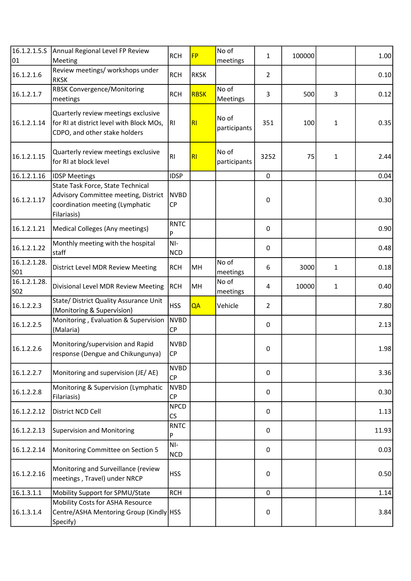| 16.1.2.1.5.5<br>01         | Annual Regional Level FP Review<br>Meeting                                                                                  | <b>RCH</b>               | <b>FP</b>   | No of<br>meetings     | 1              | 100000 |              | 1.00  |
|----------------------------|-----------------------------------------------------------------------------------------------------------------------------|--------------------------|-------------|-----------------------|----------------|--------|--------------|-------|
| 16.1.2.1.6                 | Review meetings/ workshops under<br><b>RKSK</b>                                                                             | <b>RCH</b>               | <b>RKSK</b> |                       | $\overline{2}$ |        |              | 0.10  |
| 16.1.2.1.7                 | <b>RBSK Convergence/Monitoring</b><br>meetings                                                                              | <b>RCH</b>               | <b>RBSK</b> | No of<br>Meetings     | 3              | 500    | 3            | 0.12  |
| 16.1.2.1.14                | Quarterly review meetings exclusive<br>for RI at district level with Block MOs,<br>CDPO, and other stake holders            | RI                       | RI          | No of<br>participants | 351            | 100    | $\mathbf{1}$ | 0.35  |
| 16.1.2.1.15                | Quarterly review meetings exclusive<br>for RI at block level                                                                | R <sub>l</sub>           | RI          | No of<br>participants | 3252           | 75     | $\mathbf{1}$ | 2.44  |
| 16.1.2.1.16                | <b>IDSP Meetings</b>                                                                                                        | <b>IDSP</b>              |             |                       | $\mathbf 0$    |        |              | 0.04  |
| 16.1.2.1.17                | State Task Force, State Technical<br>Advisory Committee meeting, District<br>coordination meeting (Lymphatic<br>Filariasis) | <b>NVBD</b><br><b>CP</b> |             |                       | 0              |        |              | 0.30  |
| 16.1.2.1.21                | Medical Colleges (Any meetings)                                                                                             | <b>RNTC</b><br>P         |             |                       | 0              |        |              | 0.90  |
| 16.1.2.1.22                | Monthly meeting with the hospital<br>staff                                                                                  | $NI-$<br><b>NCD</b>      |             |                       | 0              |        |              | 0.48  |
| 16.1.2.1.28.<br><b>SO1</b> | District Level MDR Review Meeting                                                                                           | <b>RCH</b>               | MH          | No of<br>meetings     | 6              | 3000   | 1            | 0.18  |
| 16.1.2.1.28.<br><b>SO2</b> | Divisional Level MDR Review Meeting                                                                                         | <b>RCH</b>               | MH          | No of<br>meetings     | 4              | 10000  | $\mathbf{1}$ | 0.40  |
| 16.1.2.2.3                 | State/ District Quality Assurance Unit<br>(Monitoring & Supervision)                                                        | <b>HSS</b>               | QA          | Vehicle               | $\overline{2}$ |        |              | 7.80  |
| 16.1.2.2.5                 | Monitoring, Evaluation & Supervision<br>(Malaria)                                                                           | <b>NVBD</b><br><b>CP</b> |             |                       | 0              |        |              | 2.13  |
| 16.1.2.2.6                 | Monitoring/supervision and Rapid<br>response (Dengue and Chikungunya)                                                       | <b>NVBD</b><br> CP       |             |                       | 0              |        |              | 1.98  |
| 16.1.2.2.7                 | Monitoring and supervision (JE/AE)                                                                                          | <b>NVBD</b><br><b>CP</b> |             |                       | 0              |        |              | 3.36  |
| 16.1.2.2.8                 | Monitoring & Supervision (Lymphatic<br>Filariasis)                                                                          | <b>NVBD</b><br><b>CP</b> |             |                       | 0              |        |              | 0.30  |
| 16.1.2.2.12                | District NCD Cell                                                                                                           | <b>NPCD</b><br><b>CS</b> |             |                       | 0              |        |              | 1.13  |
| 16.1.2.2.13                | <b>Supervision and Monitoring</b>                                                                                           | <b>RNTC</b><br>P         |             |                       | 0              |        |              | 11.93 |
| 16.1.2.2.14                | Monitoring Committee on Section 5                                                                                           | $NI-$<br><b>NCD</b>      |             |                       | 0              |        |              | 0.03  |
| 16.1.2.2.16                | Monitoring and Surveillance (review<br>meetings, Travel) under NRCP                                                         | <b>HSS</b>               |             |                       | 0              |        |              | 0.50  |
| 16.1.3.1.1                 | Mobility Support for SPMU/State                                                                                             | <b>RCH</b>               |             |                       | $\pmb{0}$      |        |              | 1.14  |
| 16.1.3.1.4                 | Mobility Costs for ASHA Resource<br>Centre/ASHA Mentoring Group (Kindly HSS<br>Specify)                                     |                          |             |                       | 0              |        |              | 3.84  |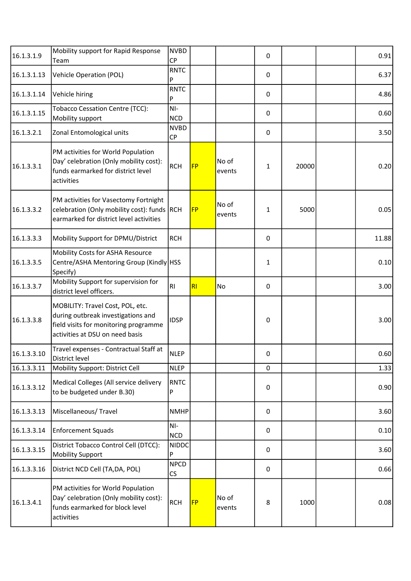| 16.1.3.1.9  | Mobility support for Rapid Response<br>Team                                                                                                        | <b>NVBD</b><br><b>CP</b> |           |                 | 0         |       | 0.91  |
|-------------|----------------------------------------------------------------------------------------------------------------------------------------------------|--------------------------|-----------|-----------------|-----------|-------|-------|
| 16.1.3.1.13 | <b>Vehicle Operation (POL)</b>                                                                                                                     | <b>RNTC</b><br>P         |           |                 | 0         |       | 6.37  |
| 16.1.3.1.14 | Vehicle hiring                                                                                                                                     | <b>RNTC</b><br>P         |           |                 | $\pmb{0}$ |       | 4.86  |
| 16.1.3.1.15 | <b>Tobacco Cessation Centre (TCC):</b><br>Mobility support                                                                                         | $NI-$<br><b>NCD</b>      |           |                 | 0         |       | 0.60  |
| 16.1.3.2.1  | Zonal Entomological units                                                                                                                          | <b>NVBD</b><br><b>CP</b> |           |                 | 0         |       | 3.50  |
| 16.1.3.3.1  | PM activities for World Population<br>Day' celebration (Only mobility cost):<br>funds earmarked for district level<br>activities                   | <b>RCH</b>               | <b>FP</b> | No of<br>events | 1         | 20000 | 0.20  |
| 16.1.3.3.2  | PM activities for Vasectomy Fortnight<br>celebration (Only mobility cost): funds RCH<br>earmarked for district level activities                    |                          | <b>FP</b> | No of<br>events | 1         | 5000  | 0.05  |
| 16.1.3.3.3  | Mobility Support for DPMU/District                                                                                                                 | <b>RCH</b>               |           |                 | 0         |       | 11.88 |
| 16.1.3.3.5  | Mobility Costs for ASHA Resource<br>Centre/ASHA Mentoring Group (Kindly HSS<br>Specify)                                                            |                          |           |                 | 1         |       | 0.10  |
| 16.1.3.3.7  | Mobility Support for supervision for<br>district level officers.                                                                                   | RI                       | RI        | No              | 0         |       | 3.00  |
| 16.1.3.3.8  | MOBILITY: Travel Cost, POL, etc.<br>during outbreak investigations and<br>field visits for monitoring programme<br>activities at DSU on need basis | <b>IDSP</b>              |           |                 | 0         |       | 3.00  |
| 16.1.3.3.10 | Travel expenses - Contractual Staff at<br>District level                                                                                           | <b>NLEP</b>              |           |                 | 0         |       | 0.60  |
| 16.1.3.3.11 | Mobility Support: District Cell                                                                                                                    | <b>NLEP</b>              |           |                 | 0         |       | 1.33  |
| 16.1.3.3.12 | Medical Colleges (All service delivery<br>to be budgeted under B.30)                                                                               | <b>RNTC</b><br>P         |           |                 | 0         |       | 0.90  |
| 16.1.3.3.13 | Miscellaneous/ Travel                                                                                                                              | <b>NMHP</b>              |           |                 | 0         |       | 3.60  |
| 16.1.3.3.14 | <b>Enforcement Squads</b>                                                                                                                          | NI-<br><b>NCD</b>        |           |                 | 0         |       | 0.10  |
| 16.1.3.3.15 | District Tobacco Control Cell (DTCC):<br><b>Mobility Support</b>                                                                                   | <b>NIDDC</b><br>P        |           |                 | 0         |       | 3.60  |
| 16.1.3.3.16 | District NCD Cell (TA, DA, POL)                                                                                                                    | <b>NPCD</b><br><b>CS</b> |           |                 | 0         |       | 0.66  |
| 16.1.3.4.1  | PM activities for World Population<br>Day' celebration (Only mobility cost):<br>funds earmarked for block level<br>activities                      | <b>RCH</b>               | <b>FP</b> | No of<br>events | 8         | 1000  | 0.08  |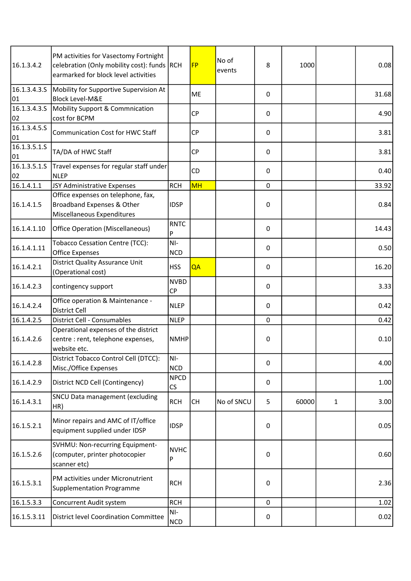| 16.1.3.4.2                      | PM activities for Vasectomy Fortnight<br>celebration (Only mobility cost): funds RCH<br>earmarked for block level activities |                          | <b>FP</b> | No of<br>events | 8           | 1000  |              | 0.08  |
|---------------------------------|------------------------------------------------------------------------------------------------------------------------------|--------------------------|-----------|-----------------|-------------|-------|--------------|-------|
| 16.1.3.4.3.5<br>01              | Mobility for Supportive Supervision At<br><b>Block Level-M&amp;E</b>                                                         |                          | <b>ME</b> |                 | $\mathbf 0$ |       |              | 31.68 |
| 16.1.3.4.3.5<br>02              | Mobility Support & Commnication<br>cost for BCPM                                                                             |                          | <b>CP</b> |                 | 0           |       |              | 4.90  |
| 16.1.3.4.5.5<br>01              | <b>Communication Cost for HWC Staff</b>                                                                                      |                          | <b>CP</b> |                 | 0           |       |              | 3.81  |
| $\overline{16.1.3.5.1.5}$<br>01 | TA/DA of HWC Staff                                                                                                           |                          | <b>CP</b> |                 | 0           |       |              | 3.81  |
| 16.1.3.5.1.S<br>02              | Travel expenses for regular staff under<br><b>NLEP</b>                                                                       |                          | CD        |                 | 0           |       |              | 0.40  |
| 16.1.4.1.1                      | JSY Administrative Expenses                                                                                                  | <b>RCH</b>               | MH        |                 | $\mathbf 0$ |       |              | 33.92 |
| 16.1.4.1.5                      | Office expenses on telephone, fax,<br>Broadband Expenses & Other<br>Miscellaneous Expenditures                               | <b>IDSP</b>              |           |                 | 0           |       |              | 0.84  |
| 16.1.4.1.10                     | <b>Office Operation (Miscellaneous)</b>                                                                                      | <b>RNTC</b><br>P         |           |                 | 0           |       |              | 14.43 |
| 16.1.4.1.11                     | <b>Tobacco Cessation Centre (TCC):</b><br><b>Office Expenses</b>                                                             | $NI-$<br><b>NCD</b>      |           |                 | 0           |       |              | 0.50  |
| 16.1.4.2.1                      | <b>District Quality Assurance Unit</b><br>(Operational cost)                                                                 | <b>HSS</b>               | QA        |                 | 0           |       |              | 16.20 |
| 16.1.4.2.3                      | contingency support                                                                                                          | <b>NVBD</b><br><b>CP</b> |           |                 | 0           |       |              | 3.33  |
| 16.1.4.2.4                      | Office operation & Maintenance -<br>District Cell                                                                            | <b>NLEP</b>              |           |                 | 0           |       |              | 0.42  |
| 16.1.4.2.5                      | District Cell - Consumables                                                                                                  | <b>NLEP</b>              |           |                 | 0           |       |              | 0.42  |
| 16.1.4.2.6                      | Operational expenses of the district<br>centre : rent, telephone expenses,<br>website etc.                                   | <b>NMHP</b>              |           |                 | 0           |       |              | 0.10  |
| 16.1.4.2.8                      | District Tobacco Control Cell (DTCC):<br>Misc./Office Expenses                                                               | NI-<br><b>NCD</b>        |           |                 | 0           |       |              | 4.00  |
| 16.1.4.2.9                      | District NCD Cell (Contingency)                                                                                              | <b>NPCD</b><br>CS        |           |                 | 0           |       |              | 1.00  |
| 16.1.4.3.1                      | SNCU Data management (excluding<br>HR)                                                                                       | <b>RCH</b>               | <b>CH</b> | No of SNCU      | 5           | 60000 | $\mathbf{1}$ | 3.00  |
| 16.1.5.2.1                      | Minor repairs and AMC of IT/office<br>equipment supplied under IDSP                                                          | <b>IDSP</b>              |           |                 | 0           |       |              | 0.05  |
| 16.1.5.2.6                      | SVHMU: Non-recurring Equipment-<br>(computer, printer photocopier<br>scanner etc)                                            | <b>NVHC</b><br>P         |           |                 | 0           |       |              | 0.60  |
| 16.1.5.3.1                      | PM activities under Micronutrient<br>Supplementation Programme                                                               | <b>RCH</b>               |           |                 | 0           |       |              | 2.36  |
| 16.1.5.3.3                      | Concurrent Audit system                                                                                                      | <b>RCH</b>               |           |                 | 0           |       |              | 1.02  |
| 16.1.5.3.11                     | District level Coordination Committee                                                                                        | NI-<br><b>NCD</b>        |           |                 | 0           |       |              | 0.02  |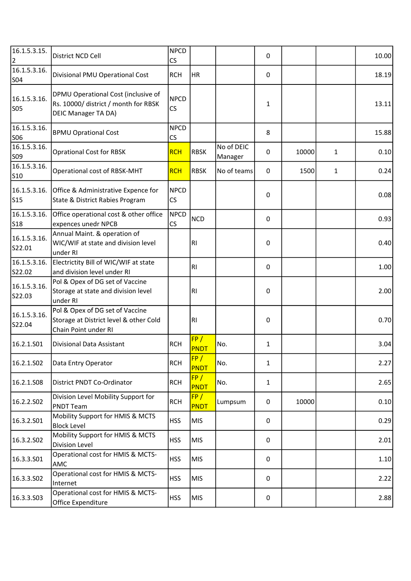| 16.1.5.3.15.<br>2          | District NCD Cell                                                                                         | <b>NPCD</b><br>CS |                    |                       | 0 |       |              | 10.00 |
|----------------------------|-----------------------------------------------------------------------------------------------------------|-------------------|--------------------|-----------------------|---|-------|--------------|-------|
| 16.1.5.3.16.<br><b>SO4</b> | Divisional PMU Operational Cost                                                                           | <b>RCH</b>        | HR                 |                       | 0 |       |              | 18.19 |
| 16.1.5.3.16.<br><b>SO5</b> | DPMU Operational Cost (inclusive of<br>Rs. 10000/ district / month for RBSK<br><b>DEIC Manager TA DA)</b> | <b>NPCD</b><br>CS |                    |                       | 1 |       |              | 13.11 |
| 16.1.5.3.16.<br><b>SO6</b> | <b>BPMU Oprational Cost</b>                                                                               | <b>NPCD</b><br>CS |                    |                       | 8 |       |              | 15.88 |
| 16.1.5.3.16.<br>S09        | <b>Oprational Cost for RBSK</b>                                                                           | <b>RCH</b>        | <b>RBSK</b>        | No of DEIC<br>Manager | 0 | 10000 | $\mathbf{1}$ | 0.10  |
| 16.1.5.3.16.<br><b>S10</b> | Operational cost of RBSK-MHT                                                                              | <b>RCH</b>        | <b>RBSK</b>        | No of teams           | 0 | 1500  | 1            | 0.24  |
| 16.1.5.3.16.<br><b>S15</b> | Office & Administrative Expence for<br>State & District Rabies Program                                    | <b>NPCD</b><br>CS |                    |                       | 0 |       |              | 0.08  |
| 16.1.5.3.16.<br><b>S18</b> | Office operational cost & other office<br>expences unedr NPCB                                             | NPCD<br>CS        | <b>NCD</b>         |                       | 0 |       |              | 0.93  |
| 16.1.5.3.16.<br>S22.01     | Annual Maint. & operation of<br>WIC/WIF at state and division level<br>under RI                           |                   | R <sub>l</sub>     |                       | 0 |       |              | 0.40  |
| 16.1.5.3.16.<br>S22.02     | Electrictity Bill of WIC/WIF at state<br>and division level under RI                                      |                   | R <sub>l</sub>     |                       | 0 |       |              | 1.00  |
| 16.1.5.3.16.<br>S22.03     | Pol & Opex of DG set of Vaccine<br>Storage at state and division level<br>under RI                        |                   | R1                 |                       | 0 |       |              | 2.00  |
| 16.1.5.3.16.<br>S22.04     | Pol & Opex of DG set of Vaccine<br>Storage at District level & other Cold<br>Chain Point under RI         |                   | R1                 |                       | 0 |       |              | 0.70  |
| 16.2.1.S01                 | Divisional Data Assistant                                                                                 | <b>RCH</b>        | FP/<br><b>PNDT</b> | No.                   | 1 |       |              | 3.04  |
| 16.2.1.S02                 | Data Entry Operator                                                                                       | <b>RCH</b>        | FP/<br><b>PNDT</b> | No.                   | 1 |       |              | 2.27  |
| 16.2.1.S08                 | District PNDT Co-Ordinator                                                                                | <b>RCH</b>        | FP/<br><b>PNDT</b> | No.                   | 1 |       |              | 2.65  |
| 16.2.2.502                 | Division Level Mobility Support for<br><b>PNDT Team</b>                                                   | <b>RCH</b>        | FP/<br><b>PNDT</b> | Lumpsum               | 0 | 10000 |              | 0.10  |
| 16.3.2.S01                 | Mobility Support for HMIS & MCTS<br><b>Block Level</b>                                                    | <b>HSS</b>        | <b>MIS</b>         |                       | 0 |       |              | 0.29  |
| 16.3.2.502                 | Mobility Support for HMIS & MCTS<br>Division Level                                                        | <b>HSS</b>        | <b>MIS</b>         |                       | 0 |       |              | 2.01  |
| 16.3.3.501                 | Operational cost for HMIS & MCTS-<br>AMC                                                                  | <b>HSS</b>        | <b>MIS</b>         |                       | 0 |       |              | 1.10  |
| 16.3.3.502                 | Operational cost for HMIS & MCTS-<br>Internet                                                             | <b>HSS</b>        | <b>MIS</b>         |                       | 0 |       |              | 2.22  |
| 16.3.3.503                 | Operational cost for HMIS & MCTS-<br>Office Expenditure                                                   | <b>HSS</b>        | <b>MIS</b>         |                       | 0 |       |              | 2.88  |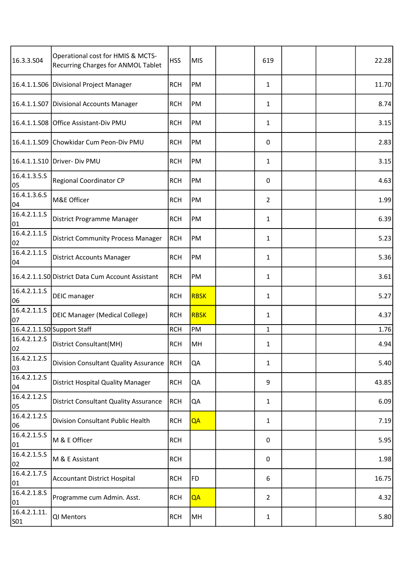| 16.3.3.S04          | Operational cost for HMIS & MCTS-<br><b>Recurring Charges for ANMOL Tablet</b> | <b>HSS</b> | <b>MIS</b>  | 619            |  | 22.28 |
|---------------------|--------------------------------------------------------------------------------|------------|-------------|----------------|--|-------|
|                     | 16.4.1.1.S06 Divisional Project Manager                                        | <b>RCH</b> | PM          | 1              |  | 11.70 |
| 16.4.1.1.507        | Divisional Accounts Manager                                                    | <b>RCH</b> | PM          | 1              |  | 8.74  |
|                     | 16.4.1.1.S08 Office Assistant-Div PMU                                          | <b>RCH</b> | PM          | 1              |  | 3.15  |
| 16.4.1.1.509        | Chowkidar Cum Peon-Div PMU                                                     | <b>RCH</b> | PM          | 0              |  | 2.83  |
| 16.4.1.1.S10        | Driver- Div PMU                                                                | <b>RCH</b> | PM          | 1              |  | 3.15  |
| 16.4.1.3.5.5<br>05  | Regional Coordinator CP                                                        | <b>RCH</b> | PM          | 0              |  | 4.63  |
| 16.4.1.3.6.5<br>04  | M&E Officer                                                                    | <b>RCH</b> | PM          | $\overline{2}$ |  | 1.99  |
| 16.4.2.1.1.5<br>01  | District Programme Manager                                                     | <b>RCH</b> | PM          | 1              |  | 6.39  |
| 16.4.2.1.1.5<br>02  | <b>District Community Process Manager</b>                                      | <b>RCH</b> | PM          | 1              |  | 5.23  |
| 16.4.2.1.1.5<br>04  | <b>District Accounts Manager</b>                                               | <b>RCH</b> | PM          | 1              |  | 5.36  |
|                     | 16.4.2.1.1.SO District Data Cum Account Assistant                              | <b>RCH</b> | PM          | 1              |  | 3.61  |
| 16.4.2.1.1.5<br>06  | <b>DEIC</b> manager                                                            | <b>RCH</b> | <b>RBSK</b> | 1              |  | 5.27  |
| 16.4.2.1.1.5<br>07  | <b>DEIC Manager (Medical College)</b>                                          | <b>RCH</b> | <b>RBSK</b> | 1              |  | 4.37  |
|                     | 16.4.2.1.1.S0 Support Staff                                                    | <b>RCH</b> | PM          | $\mathbf{1}$   |  | 1.76  |
| 16.4.2.1.2.5<br>02  | District Consultant(MH)                                                        | <b>RCH</b> | MH          | 1              |  | 4.94  |
| 16.4.2.1.2.5<br>03  | Division Consultant Quality Assurance                                          | <b>RCH</b> | QA          | 1              |  | 5.40  |
| 16.4.2.1.2.5<br>04  | District Hospital Quality Manager                                              | <b>RCH</b> | QA          | 9              |  | 43.85 |
| 16.4.2.1.2.5<br>05  | <b>District Consultant Quality Assurance</b>                                   | <b>RCH</b> | QA          | 1              |  | 6.09  |
| 16.4.2.1.2.5<br>06  | Division Consultant Public Health                                              | <b>RCH</b> | QA          | 1              |  | 7.19  |
| 16.4.2.1.5.5<br>01  | M & E Officer                                                                  | <b>RCH</b> |             | 0              |  | 5.95  |
| 16.4.2.1.5.5<br>02  | M & E Assistant                                                                | <b>RCH</b> |             | 0              |  | 1.98  |
| 16.4.2.1.7.5<br>01  | <b>Accountant District Hospital</b>                                            | <b>RCH</b> | <b>FD</b>   | 6              |  | 16.75 |
| 16.4.2.1.8.5<br>01  | Programme cum Admin. Asst.                                                     | <b>RCH</b> | QA          | $\overline{2}$ |  | 4.32  |
| 16.4.2.1.11.<br>S01 | QI Mentors                                                                     | <b>RCH</b> | MH          | 1              |  | 5.80  |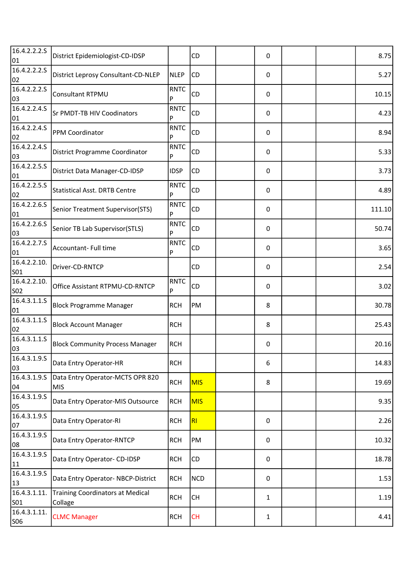| 16.4.2.2.2.5<br>01         | District Epidemiologist-CD-IDSP                    |                  | CD         | 0 |  | 8.75   |
|----------------------------|----------------------------------------------------|------------------|------------|---|--|--------|
| 16.4.2.2.2.5<br>02         | District Leprosy Consultant-CD-NLEP                | <b>NLEP</b>      | CD         | 0 |  | 5.27   |
| 16.4.2.2.2.5<br>03         | Consultant RTPMU                                   | <b>RNTC</b><br>P | CD         | 0 |  | 10.15  |
| 16.4.2.2.4.5<br>01         | Sr PMDT-TB HIV Coodinators                         | <b>RNTC</b><br>P | CD         | 0 |  | 4.23   |
| 16.4.2.2.4.S<br>02         | PPM Coordinator                                    | <b>RNTC</b><br>P | CD         | 0 |  | 8.94   |
| 16.4.2.2.4.5<br>03         | District Programme Coordinator                     | <b>RNTC</b><br>P | CD         | 0 |  | 5.33   |
| 16.4.2.2.5.5<br>01         | District Data Manager-CD-IDSP                      | <b>IDSP</b>      | CD         | 0 |  | 3.73   |
| 16.4.2.2.5.5<br>02         | <b>Statistical Asst. DRTB Centre</b>               | <b>RNTC</b><br>P | CD         | 0 |  | 4.89   |
| 16.4.2.2.6.5<br>01         | Senior Treatment Supervisor(STS)                   | <b>RNTC</b><br>P | CD         | 0 |  | 111.10 |
| 16.4.2.2.6.5<br>03         | Senior TB Lab Supervisor(STLS)                     | <b>RNTC</b><br>P | CD         | 0 |  | 50.74  |
| 16.4.2.2.7.5<br>01         | Accountant- Full time                              | <b>RNTC</b><br>P | CD         | 0 |  | 3.65   |
| 16.4.2.2.10.<br><b>SO1</b> | Driver-CD-RNTCP                                    |                  | CD         | 0 |  | 2.54   |
| 16.4.2.2.10.<br><b>SO2</b> | Office Assistant RTPMU-CD-RNTCP                    | <b>RNTC</b><br>P | CD         | 0 |  | 3.02   |
| 16.4.3.1.1.5<br>01         | <b>Block Programme Manager</b>                     | <b>RCH</b>       | PM         | 8 |  | 30.78  |
| 16.4.3.1.1.5<br>02         | <b>Block Account Manager</b>                       | <b>RCH</b>       |            | 8 |  | 25.43  |
| 16.4.3.1.1.5<br>03         | <b>Block Community Process Manager</b>             | <b>RCH</b>       |            | 0 |  | 20.16  |
| 16.4.3.1.9.5<br>03         | Data Entry Operator-HR                             | <b>RCH</b>       |            | 6 |  | 14.83  |
| 16.4.3.1.9.5<br>04         | Data Entry Operator-MCTS OPR 820<br><b>MIS</b>     | <b>RCH</b>       | <b>MIS</b> | 8 |  | 19.69  |
| 16.4.3.1.9.5<br>05         | Data Entry Operator-MIS Outsource                  | <b>RCH</b>       | <b>MIS</b> |   |  | 9.35   |
| 16.4.3.1.9.5<br>07         | Data Entry Operator-RI                             | <b>RCH</b>       | R1         | 0 |  | 2.26   |
| 16.4.3.1.9.5<br>08         | Data Entry Operator-RNTCP                          | <b>RCH</b>       | PM         | 0 |  | 10.32  |
| 16.4.3.1.9.5<br>11         | Data Entry Operator- CD-IDSP                       | <b>RCH</b>       | CD         | 0 |  | 18.78  |
| 16.4.3.1.9.5<br>13         | Data Entry Operator- NBCP-District                 | <b>RCH</b>       | <b>NCD</b> | 0 |  | 1.53   |
| 16.4.3.1.11.<br>S01        | <b>Training Coordinators at Medical</b><br>Collage | <b>RCH</b>       | <b>CH</b>  | 1 |  | 1.19   |
| 16.4.3.1.11.<br><b>SO6</b> | <b>CLMC Manager</b>                                | <b>RCH</b>       | <b>CH</b>  | 1 |  | 4.41   |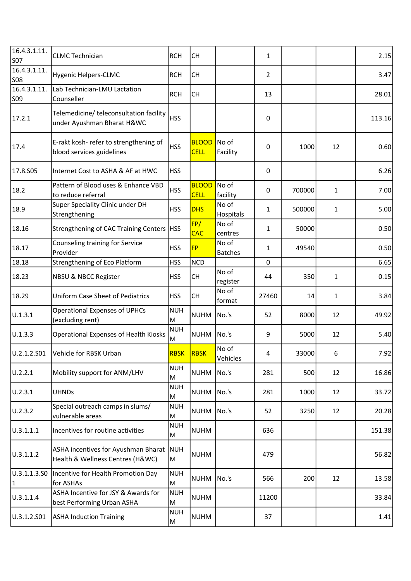| 16.4.3.1.11.<br><b>S07</b>   | <b>CLMC Technician</b>                                                  | <b>RCH</b>       | <b>CH</b>                   |                         | $\mathbf{1}$   |        |              | 2.15   |
|------------------------------|-------------------------------------------------------------------------|------------------|-----------------------------|-------------------------|----------------|--------|--------------|--------|
| 16.4.3.1.11.<br><b>SO8</b>   | <b>Hygenic Helpers-CLMC</b>                                             | <b>RCH</b>       | <b>CH</b>                   |                         | $\overline{2}$ |        |              | 3.47   |
| 16.4.3.1.11.<br><b>SO9</b>   | Lab Technician-LMU Lactation<br>Counseller                              | <b>RCH</b>       | <b>CH</b>                   |                         | 13             |        |              | 28.01  |
| 17.2.1                       | Telemedicine/ teleconsultation facility<br>under Ayushman Bharat H&WC   | <b>HSS</b>       |                             |                         | 0              |        |              | 113.16 |
| 17.4                         | E-rakt kosh- refer to strengthening of<br>blood services guidelines     | <b>HSS</b>       | <b>BLOOD</b><br><b>CELL</b> | No of<br>Facility       | 0              | 1000   | 12           | 0.60   |
| 17.8.S05                     | Internet Cost to ASHA & AF at HWC                                       | <b>HSS</b>       |                             |                         | 0              |        |              | 6.26   |
| 18.2                         | Pattern of Blood uses & Enhance VBD<br>to reduce referral               | <b>HSS</b>       | <b>BLOOD</b><br><b>CELL</b> | No of<br>facility       | 0              | 700000 | $\mathbf{1}$ | 7.00   |
| 18.9                         | Super Speciality Clinic under DH<br>Strengthening                       | <b>HSS</b>       | <b>DHS</b>                  | No of<br>Hospitals      | $\mathbf{1}$   | 500000 | $\mathbf{1}$ | 5.00   |
| 18.16                        | Strengthening of CAC Training Centers   HSS                             |                  | FP/<br><b>CAC</b>           | No of<br>centres        | $\mathbf{1}$   | 50000  |              | 0.50   |
| 18.17                        | Counseling training for Service<br>Provider                             | <b>HSS</b>       | <b>FP</b>                   | No of<br><b>Batches</b> | $\mathbf{1}$   | 49540  |              | 0.50   |
| 18.18                        | Strengthening of Eco Platform                                           | <b>HSS</b>       | <b>NCD</b>                  |                         | 0              |        |              | 6.65   |
| 18.23                        | <b>NBSU &amp; NBCC Register</b>                                         | <b>HSS</b>       | <b>CH</b>                   | No of<br>register       | 44             | 350    | $\mathbf{1}$ | 0.15   |
| 18.29                        | <b>Uniform Case Sheet of Pediatrics</b>                                 | <b>HSS</b>       | <b>CH</b>                   | No of<br>format         | 27460          | 14     | $\mathbf{1}$ | 3.84   |
| U.1.3.1                      | <b>Operational Expenses of UPHCs</b><br>(excluding rent)                | <b>NUH</b><br>M  | <b>NUHM</b>                 | No.'s                   | 52             | 8000   | 12           | 49.92  |
| U.1.3.3                      | <b>Operational Expenses of Health Kiosks</b>                            | <b>NUH</b><br>M  | <b>NUHM</b>                 | No.'s                   | 9              | 5000   | 12           | 5.40   |
|                              | U.2.1.2.S01   Vehicle for RBSK Urban                                    | <b>RBSK RBSK</b> |                             | No of<br>Vehicles       | 4              | 33000  | 6            | 7.92   |
| U.2.2.1                      | Mobility support for ANM/LHV                                            | <b>NUH</b><br>M  | <b>NUHM</b>                 | No.'s                   | 281            | 500    | 12           | 16.86  |
| U.2.3.1                      | <b>UHNDs</b>                                                            | <b>NUH</b><br>M  | <b>NUHM</b>                 | No.'s                   | 281            | 1000   | 12           | 33.72  |
| U.2.3.2                      | Special outreach camps in slums/<br>vulnerable areas                    | <b>NUH</b><br>M  | <b>NUHM</b>                 | No.'s                   | 52             | 3250   | 12           | 20.28  |
| U.3.1.1.1                    | Incentives for routine activities                                       | <b>NUH</b><br>M  | <b>NUHM</b>                 |                         | 636            |        |              | 151.38 |
| U.3.1.1.2                    | ASHA incentives for Ayushman Bharat<br>Health & Wellness Centres (H&WC) | NUH<br>M         | <b>NUHM</b>                 |                         | 479            |        |              | 56.82  |
| U.3.1.1.3.50<br>$\mathbf{1}$ | Incentive for Health Promotion Day<br>for ASHAs                         | <b>NUH</b><br>M  | <b>NUHM</b>                 | No.'s                   | 566            | 200    | 12           | 13.58  |
| U.3.1.1.4                    | ASHA Incentive for JSY & Awards for<br>best Performing Urban ASHA       | <b>NUH</b><br>M  | <b>NUHM</b>                 |                         | 11200          |        |              | 33.84  |
| U.3.1.2.501                  | <b>ASHA Induction Training</b>                                          | <b>NUH</b><br>M  | <b>NUHM</b>                 |                         | 37             |        |              | 1.41   |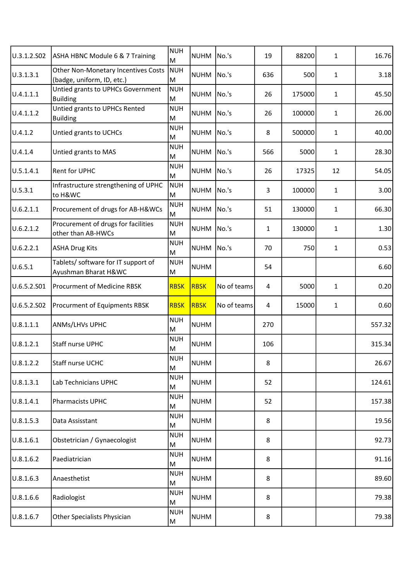| U.3.1.2.502 | ASHA HBNC Module 6 & 7 Training                                          | <b>NUH</b><br>ΙM | <b>NUHM</b> | No.'s       | 19           | 88200  | 1            | 16.76  |
|-------------|--------------------------------------------------------------------------|------------------|-------------|-------------|--------------|--------|--------------|--------|
| U.3.1.3.1   | <b>Other Non-Monetary Incentives Costs</b><br>(badge, uniform, ID, etc.) | NUH<br>M         | <b>NUHM</b> | No.'s       | 636          | 500    | $\mathbf{1}$ | 3.18   |
| U.4.1.1.1   | Untied grants to UPHCs Government<br><b>Building</b>                     | NUH<br>M         | <b>NUHM</b> | No.'s       | 26           | 175000 | $\mathbf{1}$ | 45.50  |
| U.4.1.1.2   | Untied grants to UPHCs Rented<br><b>Building</b>                         | NUH<br>M         | <b>NUHM</b> | No.'s       | 26           | 100000 | $\mathbf{1}$ | 26.00  |
| U.4.1.2     | Untied grants to UCHCs                                                   | <b>NUH</b><br>M  | <b>NUHM</b> | No.'s       | 8            | 500000 | $\mathbf{1}$ | 40.00  |
| U.4.1.4     | Untied grants to MAS                                                     | NUH<br>M         | <b>NUHM</b> | No.'s       | 566          | 5000   | $\mathbf{1}$ | 28.30  |
| U.5.1.4.1   | <b>Rent for UPHC</b>                                                     | NUH<br>M         | <b>NUHM</b> | No.'s       | 26           | 17325  | 12           | 54.05  |
| U.5.3.1     | Infrastructure strengthening of UPHC<br>to H&WC                          | NUH<br>M         | <b>NUHM</b> | No.'s       | 3            | 100000 | $\mathbf{1}$ | 3.00   |
| U.6.2.1.1   | Procurement of drugs for AB-H&WCs                                        | NUH<br>M         | <b>NUHM</b> | No.'s       | 51           | 130000 | $\mathbf{1}$ | 66.30  |
| U.6.2.1.2   | Procurement of drugs for facilities<br>other than AB-HWCs                | <b>NUH</b><br>M  | <b>NUHM</b> | No.'s       | $\mathbf{1}$ | 130000 | $\mathbf{1}$ | 1.30   |
| U.6.2.2.1   | <b>ASHA Drug Kits</b>                                                    | NUH<br>M         | <b>NUHM</b> | No.'s       | 70           | 750    | $\mathbf{1}$ | 0.53   |
| U.6.5.1     | Tablets/ software for IT support of<br>Ayushman Bharat H&WC              | NUH<br>M         | <b>NUHM</b> |             | 54           |        |              | 6.60   |
| U.6.5.2.501 | Procurment of Medicine RBSK                                              | <b>RBSK</b>      | RBSK        | No of teams | 4            | 5000   | $\mathbf{1}$ | 0.20   |
| U.6.5.2.S02 | Procurment of Equipments RBSK                                            | <b>RBSK</b>      | RBSK        | No of teams | 4            | 15000  | $\mathbf{1}$ | 0.60   |
| U.8.1.1.1   | ANMs/LHVs UPHC                                                           | NUH<br>M         | <b>NUHM</b> |             | 270          |        |              | 557.32 |
| U.8.1.2.1   | Staff nurse UPHC                                                         | NUH<br>M         | <b>NUHM</b> |             | 106          |        |              | 315.34 |
| U.8.1.2.2   | Staff nurse UCHC                                                         | <b>NUH</b><br>M  | <b>NUHM</b> |             | 8            |        |              | 26.67  |
| U.8.1.3.1   | Lab Technicians UPHC                                                     | NUH<br>M         | <b>NUHM</b> |             | 52           |        |              | 124.61 |
| U.8.1.4.1   | Pharmacists UPHC                                                         | <b>NUH</b><br>M  | <b>NUHM</b> |             | 52           |        |              | 157.38 |
| U.8.1.5.3   | Data Assisstant                                                          | <b>NUH</b><br>M  | <b>NUHM</b> |             | 8            |        |              | 19.56  |
| U.8.1.6.1   | Obstetrician / Gynaecologist                                             | NUH<br>M         | <b>NUHM</b> |             | 8            |        |              | 92.73  |
| U.8.1.6.2   | Paediatrician                                                            | NUH<br>M         | <b>NUHM</b> |             | 8            |        |              | 91.16  |
| U.8.1.6.3   | Anaesthetist                                                             | <b>NUH</b><br>M  | <b>NUHM</b> |             | 8            |        |              | 89.60  |
| U.8.1.6.6   | Radiologist                                                              | <b>NUH</b><br>M  | <b>NUHM</b> |             | 8            |        |              | 79.38  |
| U.8.1.6.7   | Other Specialists Physician                                              | NUH<br>M         | <b>NUHM</b> |             | 8            |        |              | 79.38  |